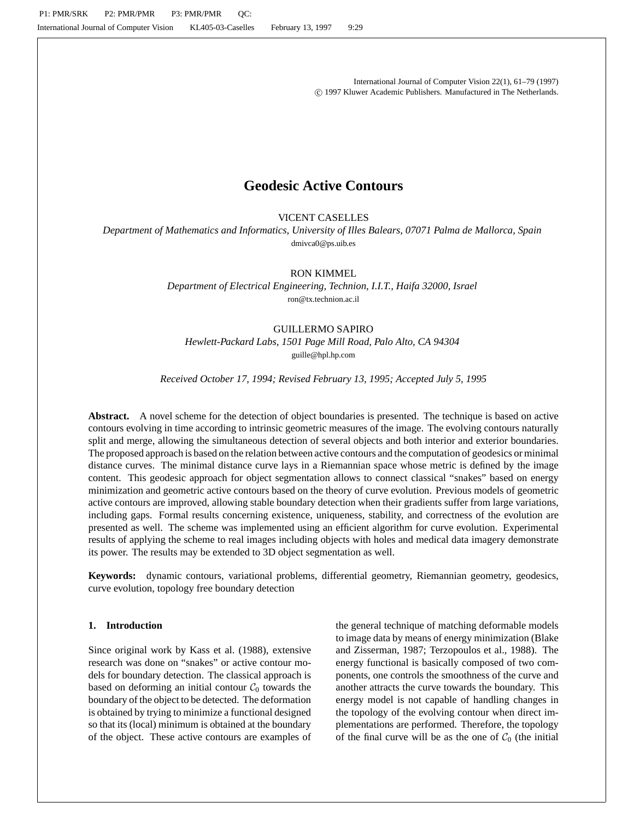# **Geodesic Active Contours**

VICENT CASELLES

*Department of Mathematics and Informatics, University of Illes Balears, 07071 Palma de Mallorca, Spain* dmivca0@ps.uib.es

### RON KIMMEL

*Department of Electrical Engineering, Technion, I.I.T., Haifa 32000, Israel* ron@tx.technion.ac.il

# GUILLERMO SAPIRO

*Hewlett-Packard Labs, 1501 Page Mill Road, Palo Alto, CA 94304* guille@hpl.hp.com

*Received October 17, 1994; Revised February 13, 1995; Accepted July 5, 1995*

**Abstract.** A novel scheme for the detection of object boundaries is presented. The technique is based on active contours evolving in time according to intrinsic geometric measures of the image. The evolving contours naturally split and merge, allowing the simultaneous detection of several objects and both interior and exterior boundaries. The proposed approach is based on the relation between active contours and the computation of geodesics or minimal distance curves. The minimal distance curve lays in a Riemannian space whose metric is defined by the image content. This geodesic approach for object segmentation allows to connect classical "snakes" based on energy minimization and geometric active contours based on the theory of curve evolution. Previous models of geometric active contours are improved, allowing stable boundary detection when their gradients suffer from large variations, including gaps. Formal results concerning existence, uniqueness, stability, and correctness of the evolution are presented as well. The scheme was implemented using an efficient algorithm for curve evolution. Experimental results of applying the scheme to real images including objects with holes and medical data imagery demonstrate its power. The results may be extended to 3D object segmentation as well.

**Keywords:** dynamic contours, variational problems, differential geometry, Riemannian geometry, geodesics, curve evolution, topology free boundary detection

### **1. Introduction**

Since original work by Kass et al. (1988), extensive research was done on "snakes" or active contour models for boundary detection. The classical approach is based on deforming an initial contour  $C_0$  towards the boundary of the object to be detected. The deformation is obtained by trying to minimize a functional designed so that its (local) minimum is obtained at the boundary of the object. These active contours are examples of the general technique of matching deformable models to image data by means of energy minimization (Blake and Zisserman, 1987; Terzopoulos et al., 1988). The energy functional is basically composed of two components, one controls the smoothness of the curve and another attracts the curve towards the boundary. This energy model is not capable of handling changes in the topology of the evolving contour when direct implementations are performed. Therefore, the topology of the final curve will be as the one of  $C_0$  (the initial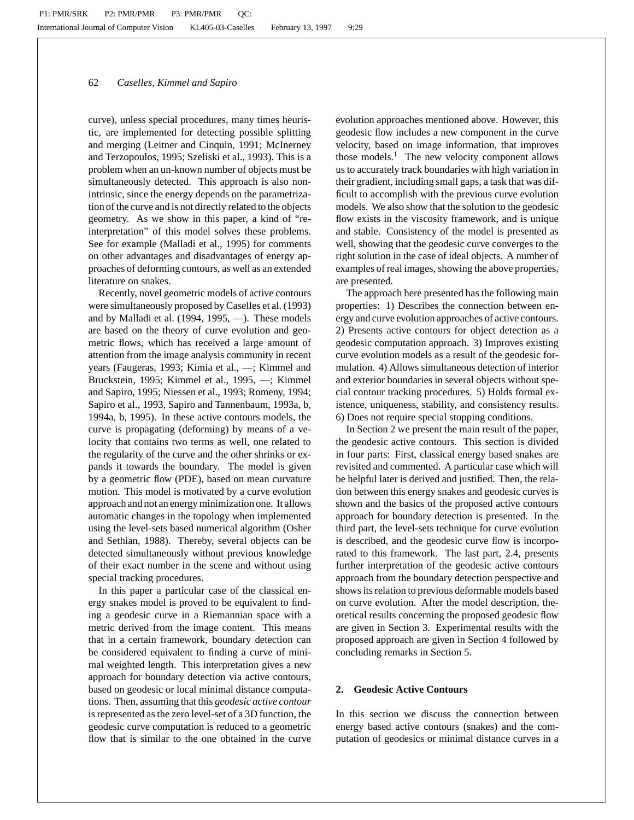curve), unless special procedures, many times heuristic, are implemented for detecting possible splitting and merging (Leitner and Cinquin, 1991; McInerney and Terzopoulos, 1995; Szeliski et al., 1993). This is a problem when an un-known number of objects must be simultaneously detected. This approach is also nonintrinsic, since the energy depends on the parametrization of the curve and is not directly related to the objects geometry. As we show in this paper, a kind of "reinterpretation" of this model solves these problems. See for example (Malladi et al., 1995) for comments on other advantages and disadvantages of energy approaches of deforming contours, as well as an extended literature on snakes.

Recently, novel geometric models of active contours were simultaneously proposed by Caselles et al. (1993) and by Malladi et al. (1994, 1995, —). These models are based on the theory of curve evolution and geometric flows, which has received a large amount of attention from the image analysis community in recent years (Faugeras, 1993; Kimia et al., —; Kimmel and Bruckstein, 1995; Kimmel et al., 1995, —; Kimmel and Sapiro, 1995; Niessen et al., 1993; Romeny, 1994; Sapiro et al., 1993, Sapiro and Tannenbaum, 1993a, b, 1994a, b, 1995). In these active contours models, the curve is propagating (deforming) by means of a velocity that contains two terms as well, one related to the regularity of the curve and the other shrinks or expands it towards the boundary. The model is given by a geometric flow (PDE), based on mean curvature motion. This model is motivated by a curve evolution approach and not an energy minimization one. It allows automatic changes in the topology when implemented using the level-sets based numerical algorithm (Osher and Sethian, 1988). Thereby, several objects can be detected simultaneously without previous knowledge of their exact number in the scene and without using special tracking procedures.

In this paper a particular case of the classical energy snakes model is proved to be equivalent to finding a geodesic curve in a Riemannian space with a metric derived from the image content. This means that in a certain framework, boundary detection can be considered equivalent to finding a curve of minimal weighted length. This interpretation gives a new approach for boundary detection via active contours, based on geodesic or local minimal distance computations. Then, assuming that this *geodesic active contour* is represented as the zero level-set of a 3D function, the geodesic curve computation is reduced to a geometric flow that is similar to the one obtained in the curve

evolution approaches mentioned above. However, this geodesic flow includes a new component in the curve velocity, based on image information, that improves those models. $<sup>1</sup>$  The new velocity component allows</sup> us to accurately track boundaries with high variation in their gradient, including small gaps, a task that was difficult to accomplish with the previous curve evolution models. We also show that the solution to the geodesic flow exists in the viscosity framework, and is unique and stable. Consistency of the model is presented as well, showing that the geodesic curve converges to the right solution in the case of ideal objects. A number of examples of real images, showing the above properties, are presented.

The approach here presented has the following main properties: 1) Describes the connection between energy and curve evolution approaches of active contours. 2) Presents active contours for object detection as a geodesic computation approach. 3) Improves existing curve evolution models as a result of the geodesic formulation. 4) Allows simultaneous detection of interior and exterior boundaries in several objects without special contour tracking procedures. 5) Holds formal existence, uniqueness, stability, and consistency results. 6) Does not require special stopping conditions.

In Section 2 we present the main result of the paper, the geodesic active contours. This section is divided in four parts: First, classical energy based snakes are revisited and commented. A particular case which will be helpful later is derived and justified. Then, the relation between this energy snakes and geodesic curves is shown and the basics of the proposed active contours approach for boundary detection is presented. In the third part, the level-sets technique for curve evolution is described, and the geodesic curve flow is incorporated to this framework. The last part, 2.4, presents further interpretation of the geodesic active contours approach from the boundary detection perspective and shows its relation to previous deformable models based on curve evolution. After the model description, theoretical results concerning the proposed geodesic flow are given in Section 3. Experimental results with the proposed approach are given in Section 4 followed by concluding remarks in Section 5.

# **2. Geodesic Active Contours**

In this section we discuss the connection between energy based active contours (snakes) and the computation of geodesics or minimal distance curves in a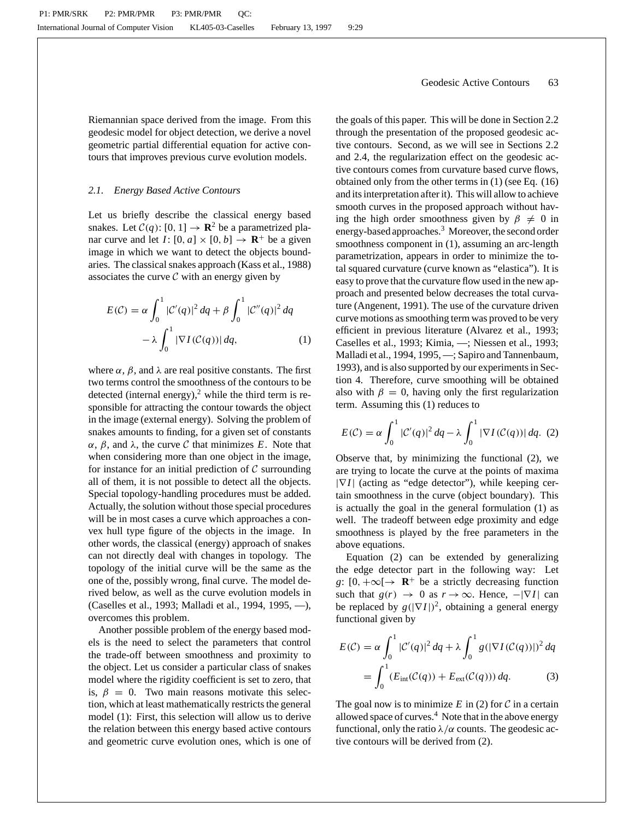Riemannian space derived from the image. From this geodesic model for object detection, we derive a novel geometric partial differential equation for active contours that improves previous curve evolution models.

#### *2.1. Energy Based Active Contours*

Let us briefly describe the classical energy based snakes. Let  $C(q)$ : [0, 1]  $\rightarrow \mathbb{R}^2$  be a parametrized planar curve and let *I*:  $[0, a] \times [0, b] \rightarrow \mathbb{R}^+$  be a given image in which we want to detect the objects boundaries. The classical snakes approach (Kass et al., 1988) associates the curve  $\mathcal C$  with an energy given by

$$
E(C) = \alpha \int_0^1 |C'(q)|^2 dq + \beta \int_0^1 |C''(q)|^2 dq
$$
  
-  $\lambda \int_0^1 |\nabla I(C(q))| dq,$  (1)

where  $\alpha$ ,  $\beta$ , and  $\lambda$  are real positive constants. The first two terms control the smoothness of the contours to be detected (internal energy),<sup>2</sup> while the third term is responsible for attracting the contour towards the object in the image (external energy). Solving the problem of snakes amounts to finding, for a given set of constants  $\alpha$ ,  $\beta$ , and  $\lambda$ , the curve C that minimizes E. Note that when considering more than one object in the image, for instance for an initial prediction of  $C$  surrounding all of them, it is not possible to detect all the objects. Special topology-handling procedures must be added. Actually, the solution without those special procedures will be in most cases a curve which approaches a convex hull type figure of the objects in the image. In other words, the classical (energy) approach of snakes can not directly deal with changes in topology. The topology of the initial curve will be the same as the one of the, possibly wrong, final curve. The model derived below, as well as the curve evolution models in (Caselles et al., 1993; Malladi et al., 1994, 1995, —), overcomes this problem.

Another possible problem of the energy based models is the need to select the parameters that control the trade-off between smoothness and proximity to the object. Let us consider a particular class of snakes model where the rigidity coefficient is set to zero, that is,  $\beta = 0$ . Two main reasons motivate this selection, which at least mathematically restricts the general model (1): First, this selection will allow us to derive the relation between this energy based active contours and geometric curve evolution ones, which is one of the goals of this paper. This will be done in Section 2.2 through the presentation of the proposed geodesic active contours. Second, as we will see in Sections 2.2 and 2.4, the regularization effect on the geodesic active contours comes from curvature based curve flows, obtained only from the other terms in (1) (see Eq. (16) and its interpretation after it). This will allow to achieve smooth curves in the proposed approach without having the high order smoothness given by  $\beta \neq 0$  in energy-based approaches.3 Moreover, the second order smoothness component in (1), assuming an arc-length parametrization, appears in order to minimize the total squared curvature (curve known as "elastica"). It is easy to prove that the curvature flow used in the new approach and presented below decreases the total curvature (Angenent, 1991). The use of the curvature driven curve motions as smoothing term was proved to be very efficient in previous literature (Alvarez et al., 1993; Caselles et al., 1993; Kimia, —; Niessen et al., 1993; Malladi et al., 1994, 1995, —; Sapiro and Tannenbaum, 1993), and is also supported by our experiments in Section 4. Therefore, curve smoothing will be obtained also with  $\beta = 0$ , having only the first regularization term. Assuming this (1) reduces to

$$
E(C) = \alpha \int_0^1 |C'(q)|^2 dq - \lambda \int_0^1 |\nabla I(C(q))| dq. (2)
$$

Observe that, by minimizing the functional (2), we are trying to locate the curve at the points of maxima |∇ *I*| (acting as "edge detector"), while keeping certain smoothness in the curve (object boundary). This is actually the goal in the general formulation (1) as well. The tradeoff between edge proximity and edge smoothness is played by the free parameters in the above equations.

Equation (2) can be extended by generalizing the edge detector part in the following way: Let *g*: [0,  $+\infty$ [→ **R**<sup>+</sup> be a strictly decreasing function such that  $g(r) \rightarrow 0$  as  $r \rightarrow \infty$ . Hence,  $-|\nabla I|$  can be replaced by  $g(|\nabla I|)^2$ , obtaining a general energy functional given by

$$
E(C) = \alpha \int_0^1 |C'(q)|^2 dq + \lambda \int_0^1 g(|\nabla I(C(q))|)^2 dq
$$
  
= 
$$
\int_0^1 (E_{int}(C(q)) + E_{ext}(C(q))) dq.
$$
 (3)

The goal now is to minimize  $E$  in (2) for  $C$  in a certain allowed space of curves.<sup>4</sup> Note that in the above energy functional, only the ratio  $\lambda/\alpha$  counts. The geodesic active contours will be derived from (2).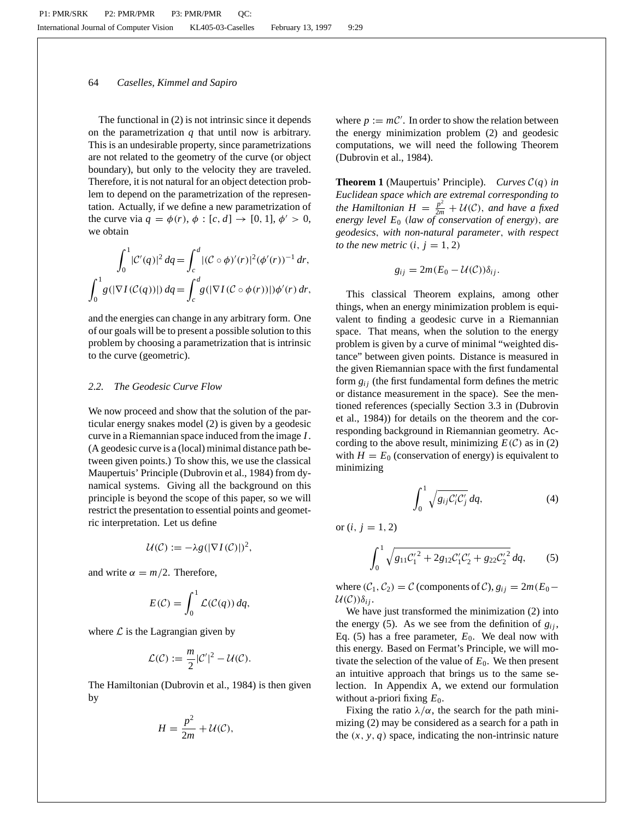The functional in (2) is not intrinsic since it depends on the parametrization *q* that until now is arbitrary. This is an undesirable property, since parametrizations are not related to the geometry of the curve (or object boundary), but only to the velocity they are traveled. Therefore, it is not natural for an object detection problem to depend on the parametrization of the representation. Actually, if we define a new parametrization of the curve via  $q = \phi(r)$ ,  $\phi : [c, d] \rightarrow [0, 1]$ ,  $\phi' > 0$ , we obtain

$$
\int_0^1 |\mathcal{C}'(q)|^2 dq = \int_c^d |(\mathcal{C} \circ \phi)'(r)|^2 (\phi'(r))^{-1} dr,
$$
  

$$
\int_0^1 g(|\nabla I(\mathcal{C}(q))|) dq = \int_c^d g(|\nabla I(\mathcal{C} \circ \phi(r))|) \phi'(r) dr,
$$

and the energies can change in any arbitrary form. One of our goals will be to present a possible solution to this problem by choosing a parametrization that is intrinsic to the curve (geometric).

### *2.2. The Geodesic Curve Flow*

We now proceed and show that the solution of the particular energy snakes model (2) is given by a geodesic curve in a Riemannian space induced from the image *I*. (A geodesic curve is a (local) minimal distance path between given points.) To show this, we use the classical Maupertuis' Principle (Dubrovin et al., 1984) from dynamical systems. Giving all the background on this principle is beyond the scope of this paper, so we will restrict the presentation to essential points and geometric interpretation. Let us define

$$
\mathcal{U}(\mathcal{C}):=-\lambda g(|\nabla I(\mathcal{C})|)^2,
$$

and write  $\alpha = m/2$ . Therefore,

$$
E(\mathcal{C}) = \int_0^1 \mathcal{L}(\mathcal{C}(q)) \, dq,
$$

where  $\mathcal L$  is the Lagrangian given by

$$
\mathcal{L}(\mathcal{C}) := \frac{m}{2} |\mathcal{C}'|^2 - \mathcal{U}(\mathcal{C}).
$$

The Hamiltonian (Dubrovin et al., 1984) is then given by

$$
H = \frac{p^2}{2m} + \mathcal{U}(\mathcal{C}),
$$

where  $p := mC'$ . In order to show the relation between the energy minimization problem (2) and geodesic computations, we will need the following Theorem (Dubrovin et al., 1984).

**Theorem 1** (Maupertuis' Principle). *Curves*  $C(q)$  *in Euclidean space which are extremal corresponding to the Hamiltonian H* =  $\frac{p^2}{2m}$  + U(C), *and have a fixed energy level E*<sup>0</sup> (*law of conservation of energy*), *are geodesics*, *with non-natural parameter*, *with respect to the new metric*  $(i, j = 1, 2)$ 

$$
g_{ij}=2m(E_0-\mathcal{U}(\mathcal{C}))\delta_{ij}.
$$

This classical Theorem explains, among other things, when an energy minimization problem is equivalent to finding a geodesic curve in a Riemannian space. That means, when the solution to the energy problem is given by a curve of minimal "weighted distance" between given points. Distance is measured in the given Riemannian space with the first fundamental form  $g_{ij}$  (the first fundamental form defines the metric or distance measurement in the space). See the mentioned references (specially Section 3.3 in (Dubrovin et al., 1984)) for details on the theorem and the corresponding background in Riemannian geometry. According to the above result, minimizing  $E(\mathcal{C})$  as in (2) with  $H = E_0$  (conservation of energy) is equivalent to minimizing

$$
\int_0^1 \sqrt{g_{ij} C'_i C'_j} \, dq,\tag{4}
$$

or  $(i, j = 1, 2)$ 

$$
\int_0^1 \sqrt{g_{11}C_1'^2 + 2g_{12}C_1'C_2' + g_{22}C_2'^2} \, dq,\qquad (5)
$$

where  $(C_1, C_2) = C$  (components of C),  $g_{ij} = 2m(E_0 U(\mathcal{C}))\delta_{ij}$ .

We have just transformed the minimization (2) into the energy (5). As we see from the definition of  $g_{ii}$ , Eq. (5) has a free parameter,  $E_0$ . We deal now with this energy. Based on Fermat's Principle, we will motivate the selection of the value of  $E_0$ . We then present an intuitive approach that brings us to the same selection. In Appendix A, we extend our formulation without a-priori fixing  $E_0$ .

Fixing the ratio  $\lambda/\alpha$ , the search for the path minimizing (2) may be considered as a search for a path in the  $(x, y, q)$  space, indicating the non-intrinsic nature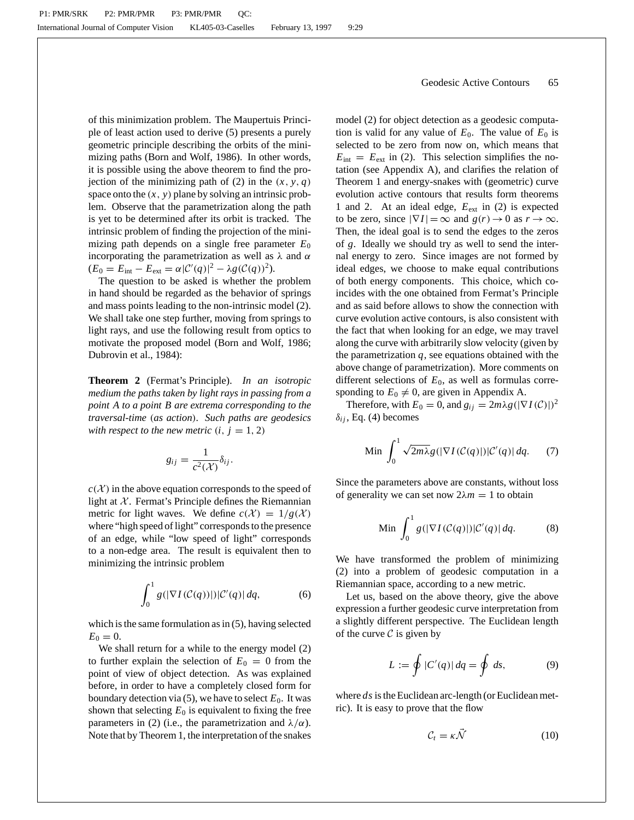of this minimization problem. The Maupertuis Principle of least action used to derive (5) presents a purely geometric principle describing the orbits of the minimizing paths (Born and Wolf, 1986). In other words, it is possible using the above theorem to find the projection of the minimizing path of (2) in the  $(x, y, q)$ space onto the  $(x, y)$  plane by solving an intrinsic problem. Observe that the parametrization along the path is yet to be determined after its orbit is tracked. The intrinsic problem of finding the projection of the minimizing path depends on a single free parameter  $E_0$ incorporating the parametrization as well as  $\lambda$  and  $\alpha$  $(E_0 = E_{int} - E_{ext} = \alpha |C'(q)|^2 - \lambda g (C(q))^2).$ 

The question to be asked is whether the problem in hand should be regarded as the behavior of springs and mass points leading to the non-intrinsic model (2). We shall take one step further, moving from springs to light rays, and use the following result from optics to motivate the proposed model (Born and Wolf, 1986; Dubrovin et al., 1984):

**Theorem 2** (Fermat's Principle). *In an isotropic medium the paths taken by light rays in passing from a point A to a point B are extrema corresponding to the traversal-time* (*as action*)*. Such paths are geodesics with respect to the new metric*  $(i, j = 1, 2)$ 

$$
g_{ij}=\frac{1}{c^2(\mathcal{X})}\delta_{ij}.
$$

 $c(\mathcal{X})$  in the above equation corresponds to the speed of light at  $X$ . Fermat's Principle defines the Riemannian metric for light waves. We define  $c(\mathcal{X}) = 1/g(\mathcal{X})$ where "high speed of light" corresponds to the presence of an edge, while "low speed of light" corresponds to a non-edge area. The result is equivalent then to minimizing the intrinsic problem

$$
\int_0^1 g(|\nabla I(\mathcal{C}(q))|)|\mathcal{C}'(q)|\,dq,\tag{6}
$$

which is the same formulation as in (5), having selected  $E_0 = 0.$ 

We shall return for a while to the energy model (2) to further explain the selection of  $E_0 = 0$  from the point of view of object detection. As was explained before, in order to have a completely closed form for boundary detection via (5), we have to select  $E_0$ . It was shown that selecting  $E_0$  is equivalent to fixing the free parameters in (2) (i.e., the parametrization and  $\lambda/\alpha$ ). Note that by Theorem 1, the interpretation of the snakes

model (2) for object detection as a geodesic computation is valid for any value of  $E_0$ . The value of  $E_0$  is selected to be zero from now on, which means that  $E_{\text{int}} = E_{\text{ext}}$  in (2). This selection simplifies the notation (see Appendix A), and clarifies the relation of Theorem 1 and energy-snakes with (geometric) curve evolution active contours that results form theorems 1 and 2. At an ideal edge, *E*ext in (2) is expected to be zero, since  $|\nabla I| = \infty$  and  $g(r) \to 0$  as  $r \to \infty$ . Then, the ideal goal is to send the edges to the zeros of *g*. Ideally we should try as well to send the internal energy to zero. Since images are not formed by ideal edges, we choose to make equal contributions of both energy components. This choice, which coincides with the one obtained from Fermat's Principle and as said before allows to show the connection with curve evolution active contours, is also consistent with the fact that when looking for an edge, we may travel along the curve with arbitrarily slow velocity (given by the parametrization  $q$ , see equations obtained with the above change of parametrization). More comments on different selections of  $E_0$ , as well as formulas corresponding to  $E_0 \neq 0$ , are given in Appendix A.

Therefore, with  $E_0 = 0$ , and  $g_{ii} = 2m\lambda g(|\nabla I(\mathcal{C})|)^2$  $\delta_{ij}$ , Eq. (4) becomes

Min 
$$
\int_0^1 \sqrt{2m\lambda} g(|\nabla I(\mathcal{C}(q))| |\mathcal{C}'(q)| dq.
$$
 (7)

Since the parameters above are constants, without loss of generality we can set now  $2\lambda m = 1$  to obtain

Min 
$$
\int_0^1 g(|\nabla I(\mathcal{C}(q))|\mathcal{C}'(q)| dq.
$$
 (8)

We have transformed the problem of minimizing (2) into a problem of geodesic computation in a Riemannian space, according to a new metric.

Let us, based on the above theory, give the above expression a further geodesic curve interpretation from a slightly different perspective. The Euclidean length of the curve  $\mathcal C$  is given by

$$
L := \oint |C'(q)| dq = \oint ds, \tag{9}
$$

where *ds* is the Euclidean arc-length (or Euclidean metric). It is easy to prove that the flow

$$
\mathcal{C}_t = \kappa \vec{\mathcal{N}} \tag{10}
$$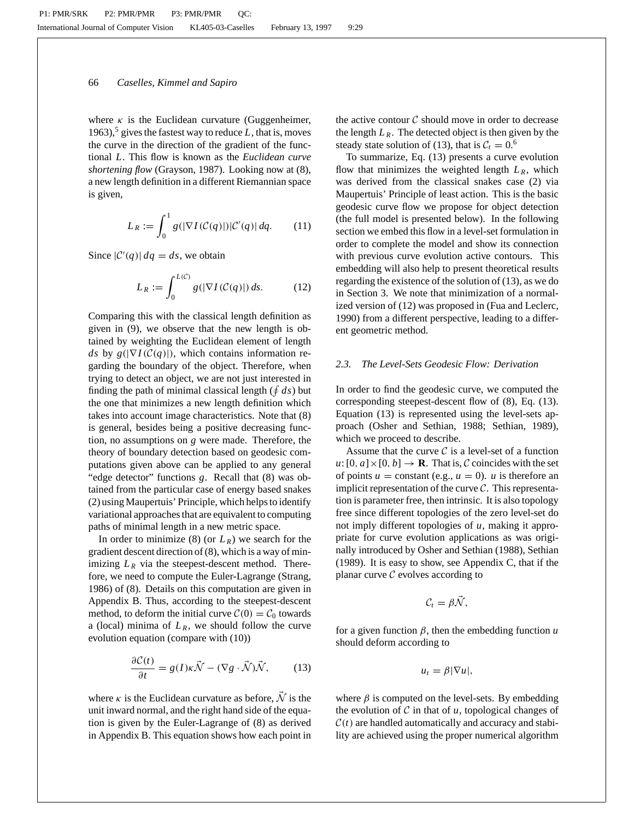where  $\kappa$  is the Euclidean curvature (Guggenheimer, 1963),<sup>5</sup> gives the fastest way to reduce  $\overline{L}$ , that is, moves the curve in the direction of the gradient of the functional *L*. This flow is known as the *Euclidean curve shortening flow* (Grayson, 1987). Looking now at (8), a new length definition in a different Riemannian space is given,

$$
L_R := \int_0^1 g(|\nabla I(\mathcal{C}(q))|\mathcal{C}'(q)|\,dq. \tag{11}
$$

Since  $|C'(q)| dq = ds$ , we obtain

$$
L_R := \int_0^{L(C)} g(|\nabla I(C(q)|) ds. \tag{12}
$$

Comparing this with the classical length definition as given in (9), we observe that the new length is obtained by weighting the Euclidean element of length *ds* by  $g(|\nabla I(\mathcal{C}(q))|)$ , which contains information regarding the boundary of the object. Therefore, when trying to detect an object, we are not just interested in finding the path of minimal classical length  $(\oint ds)$  but the one that minimizes a new length definition which takes into account image characteristics. Note that (8) is general, besides being a positive decreasing function, no assumptions on *g* were made. Therefore, the theory of boundary detection based on geodesic computations given above can be applied to any general "edge detector" functions *g*. Recall that (8) was obtained from the particular case of energy based snakes (2) using Maupertuis' Principle, which helps to identify variational approaches that are equivalent to computing paths of minimal length in a new metric space.

In order to minimize (8) (or  $L_R$ ) we search for the gradient descent direction of (8), which is a way of minimizing  $L_R$  via the steepest-descent method. Therefore, we need to compute the Euler-Lagrange (Strang, 1986) of (8). Details on this computation are given in Appendix B. Thus, according to the steepest-descent method, to deform the initial curve  $C(0) = C_0$  towards a (local) minima of  $L_R$ , we should follow the curve evolution equation (compare with (10))

$$
\frac{\partial C(t)}{\partial t} = g(I)\kappa \vec{\mathcal{N}} - (\nabla g \cdot \vec{\mathcal{N}})\vec{\mathcal{N}},\qquad(13)
$$

where  $\kappa$  is the Euclidean curvature as before,  $\vec{\mathcal{N}}$  is the unit inward normal, and the right hand side of the equation is given by the Euler-Lagrange of (8) as derived in Appendix B. This equation shows how each point in the active contour  $C$  should move in order to decrease the length  $L_R$ . The detected object is then given by the steady state solution of (13), that is  $C_t = 0.6$ 

To summarize, Eq. (13) presents a curve evolution flow that minimizes the weighted length  $L_R$ , which was derived from the classical snakes case (2) via Maupertuis' Principle of least action. This is the basic geodesic curve flow we propose for object detection (the full model is presented below). In the following section we embed this flow in a level-set formulation in order to complete the model and show its connection with previous curve evolution active contours. This embedding will also help to present theoretical results regarding the existence of the solution of (13), as we do in Section 3. We note that minimization of a normalized version of (12) was proposed in (Fua and Leclerc, 1990) from a different perspective, leading to a different geometric method.

### *2.3. The Level-Sets Geodesic Flow: Derivation*

In order to find the geodesic curve, we computed the corresponding steepest-descent flow of (8), Eq. (13). Equation (13) is represented using the level-sets approach (Osher and Sethian, 1988; Sethian, 1989), which we proceed to describe.

Assume that the curve  $\mathcal C$  is a level-set of a function  $u: [0, a] \times [0, b] \rightarrow \mathbb{R}$ . That is, C coincides with the set of points  $u =$  constant (e.g.,  $u = 0$ ). *u* is therefore an implicit representation of the curve  $\mathcal{C}$ . This representation is parameter free, then intrinsic. It is also topology free since different topologies of the zero level-set do not imply different topologies of *u*, making it appropriate for curve evolution applications as was originally introduced by Osher and Sethian (1988), Sethian (1989). It is easy to show, see Appendix C, that if the planar curve  $C$  evolves according to

$$
\mathcal{C}_t=\beta\vec{\mathcal{N}},
$$

for a given function  $\beta$ , then the embedding function  $u$ should deform according to

$$
u_t = \beta |\nabla u|,
$$

where  $\beta$  is computed on the level-sets. By embedding the evolution of  $C$  in that of  $u$ , topological changes of  $C(t)$  are handled automatically and accuracy and stability are achieved using the proper numerical algorithm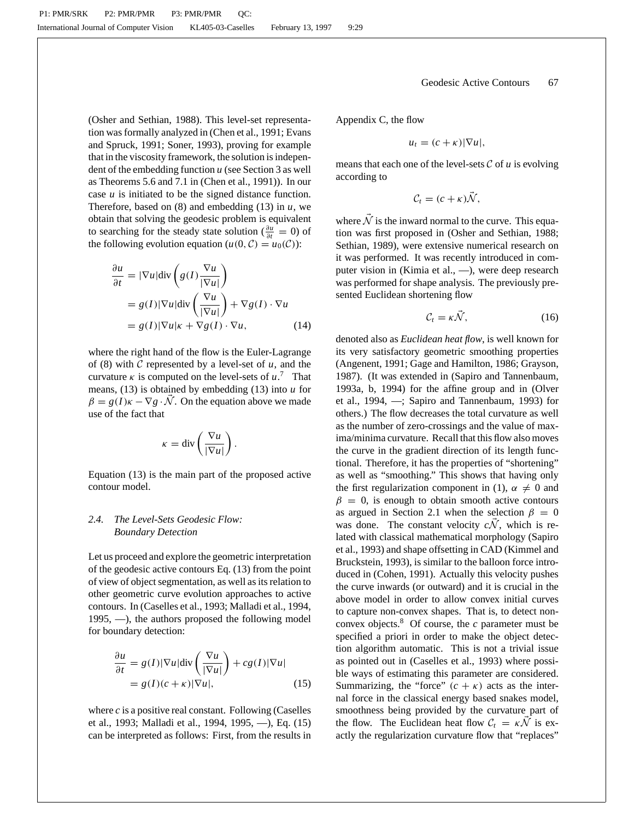(Osher and Sethian, 1988). This level-set representation was formally analyzed in (Chen et al., 1991; Evans and Spruck, 1991; Soner, 1993), proving for example that in the viscosity framework, the solution is independent of the embedding function *u* (see Section 3 as well as Theorems 5.6 and 7.1 in (Chen et al., 1991)). In our case *u* is initiated to be the signed distance function. Therefore, based on  $(8)$  and embedding  $(13)$  in  $u$ , we obtain that solving the geodesic problem is equivalent to searching for the steady state solution ( $\frac{\partial u}{\partial t} = 0$ ) of the following evolution equation  $(u(0, C) = u_0(C))$ :

$$
\frac{\partial u}{\partial t} = |\nabla u| \text{div}\left(g(I)\frac{\nabla u}{|\nabla u|}\right)
$$
  
=  $g(I)|\nabla u| \text{div}\left(\frac{\nabla u}{|\nabla u|}\right) + \nabla g(I) \cdot \nabla u$   
=  $g(I)|\nabla u|_{\kappa} + \nabla g(I) \cdot \nabla u,$  (14)

where the right hand of the flow is the Euler-Lagrange of (8) with  $C$  represented by a level-set of  $u$ , and the curvature  $\kappa$  is computed on the level-sets of  $u^2$ . That means, (13) is obtained by embedding (13) into *u* for  $\beta = g(I)\kappa - \nabla g \cdot \vec{\mathcal{N}}$ . On the equation above we made use of the fact that

$$
\kappa = \mathrm{div}\left(\frac{\nabla u}{|\nabla u|}\right).
$$

Equation (13) is the main part of the proposed active contour model.

# *2.4. The Level-Sets Geodesic Flow: Boundary Detection*

Let us proceed and explore the geometric interpretation of the geodesic active contours Eq. (13) from the point of view of object segmentation, as well as its relation to other geometric curve evolution approaches to active contours. In (Caselles et al., 1993; Malladi et al., 1994, 1995, —), the authors proposed the following model for boundary detection:

$$
\frac{\partial u}{\partial t} = g(I)|\nabla u| \text{div}\left(\frac{\nabla u}{|\nabla u|}\right) + cg(I)|\nabla u|
$$
  
=  $g(I)(c+\kappa)|\nabla u|,$  (15)

where *c* is a positive real constant. Following (Caselles et al., 1993; Malladi et al., 1994, 1995, —), Eq. (15) can be interpreted as follows: First, from the results in Appendix C, the flow

$$
u_t = (c + \kappa) |\nabla u|,
$$

means that each one of the level-sets  $C$  of  $u$  is evolving according to

$$
\mathcal{C}_t = (c + \kappa) \vec{\mathcal{N}},
$$

where  $\vec{\mathcal{N}}$  is the inward normal to the curve. This equation was first proposed in (Osher and Sethian, 1988; Sethian, 1989), were extensive numerical research on it was performed. It was recently introduced in computer vision in (Kimia et al., —), were deep research was performed for shape analysis. The previously presented Euclidean shortening flow

$$
\mathcal{C}_t = \kappa \vec{\mathcal{N}},\tag{16}
$$

denoted also as *Euclidean heat flow*, is well known for its very satisfactory geometric smoothing properties (Angenent, 1991; Gage and Hamilton, 1986; Grayson, 1987). (It was extended in (Sapiro and Tannenbaum, 1993a, b, 1994) for the affine group and in (Olver et al., 1994, —; Sapiro and Tannenbaum, 1993) for others.) The flow decreases the total curvature as well as the number of zero-crossings and the value of maxima/minima curvature. Recall that this flow also moves the curve in the gradient direction of its length functional. Therefore, it has the properties of "shortening" as well as "smoothing." This shows that having only the first regularization component in (1),  $\alpha \neq 0$  and  $\beta = 0$ , is enough to obtain smooth active contours as argued in Section 2.1 when the selection  $\beta = 0$ was done. The constant velocity  $c\overrightarrow{N}$ , which is related with classical mathematical morphology (Sapiro et al., 1993) and shape offsetting in CAD (Kimmel and Bruckstein, 1993), is similar to the balloon force introduced in (Cohen, 1991). Actually this velocity pushes the curve inwards (or outward) and it is crucial in the above model in order to allow convex initial curves to capture non-convex shapes. That is, to detect nonconvex objects.8 Of course, the *c* parameter must be specified a priori in order to make the object detection algorithm automatic. This is not a trivial issue as pointed out in (Caselles et al., 1993) where possible ways of estimating this parameter are considered. Summarizing, the "force"  $(c + \kappa)$  acts as the internal force in the classical energy based snakes model, smoothness being provided by the curvature part of the flow. The Euclidean heat flow  $C_t = \kappa \vec{\mathcal{N}}$  is exactly the regularization curvature flow that "replaces"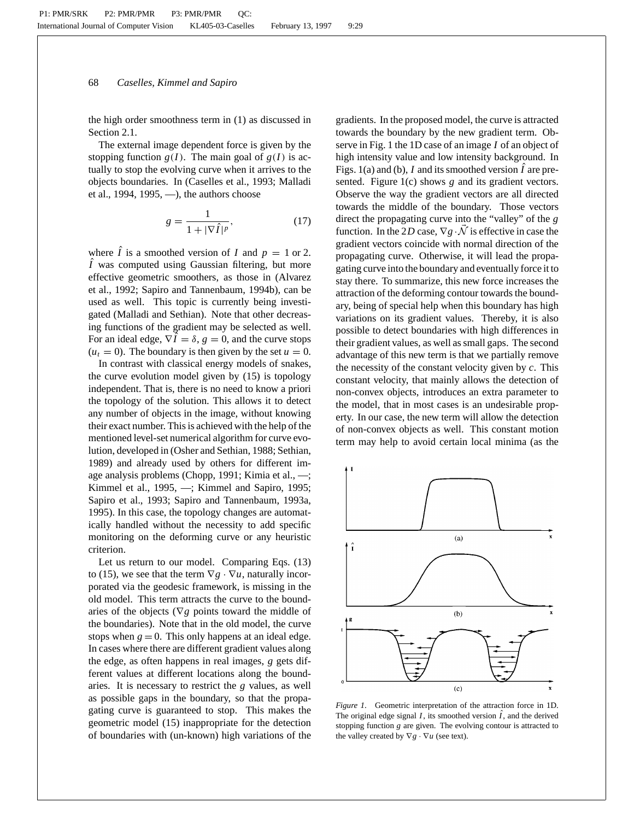the high order smoothness term in (1) as discussed in Section 2.1.

The external image dependent force is given by the stopping function  $g(I)$ . The main goal of  $g(I)$  is actually to stop the evolving curve when it arrives to the objects boundaries. In (Caselles et al., 1993; Malladi et al., 1994, 1995, —), the authors choose

$$
g = \frac{1}{1 + |\nabla \hat{I}|^p},\tag{17}
$$

where  $\hat{I}$  is a smoothed version of *I* and  $p = 1$  or 2.  $\hat{I}$  was computed using Gaussian filtering, but more effective geometric smoothers, as those in (Alvarez et al., 1992; Sapiro and Tannenbaum, 1994b), can be used as well. This topic is currently being investigated (Malladi and Sethian). Note that other decreasing functions of the gradient may be selected as well. For an ideal edge,  $\nabla \hat{I} = \delta$ ,  $g = 0$ , and the curve stops  $(u_t = 0)$ . The boundary is then given by the set  $u = 0$ .

In contrast with classical energy models of snakes, the curve evolution model given by (15) is topology independent. That is, there is no need to know a priori the topology of the solution. This allows it to detect any number of objects in the image, without knowing their exact number. This is achieved with the help of the mentioned level-set numerical algorithm for curve evolution, developed in (Osher and Sethian, 1988; Sethian, 1989) and already used by others for different image analysis problems (Chopp, 1991; Kimia et al., —; Kimmel et al., 1995, —; Kimmel and Sapiro, 1995; Sapiro et al., 1993; Sapiro and Tannenbaum, 1993a, 1995). In this case, the topology changes are automatically handled without the necessity to add specific monitoring on the deforming curve or any heuristic criterion.

Let us return to our model. Comparing Eqs. (13) to (15), we see that the term  $\nabla g \cdot \nabla u$ , naturally incorporated via the geodesic framework, is missing in the old model. This term attracts the curve to the boundaries of the objects (∇*g* points toward the middle of the boundaries). Note that in the old model, the curve stops when  $g = 0$ . This only happens at an ideal edge. In cases where there are different gradient values along the edge, as often happens in real images, *g* gets different values at different locations along the boundaries. It is necessary to restrict the *g* values, as well as possible gaps in the boundary, so that the propagating curve is guaranteed to stop. This makes the geometric model (15) inappropriate for the detection of boundaries with (un-known) high variations of the gradients. In the proposed model, the curve is attracted towards the boundary by the new gradient term. Observe in Fig. 1 the 1D case of an image *I* of an object of high intensity value and low intensity background. In Figs. 1(a) and (b), *I* and its smoothed version  $\hat{I}$  are presented. Figure 1(c) shows *g* and its gradient vectors. Observe the way the gradient vectors are all directed towards the middle of the boundary. Those vectors direct the propagating curve into the "valley" of the *g* function. In the 2*D* case,  $\nabla g \cdot \vec{N}$  is effective in case the gradient vectors coincide with normal direction of the propagating curve. Otherwise, it will lead the propagating curve into the boundary and eventually force it to stay there. To summarize, this new force increases the attraction of the deforming contour towards the boundary, being of special help when this boundary has high variations on its gradient values. Thereby, it is also possible to detect boundaries with high differences in their gradient values, as well as small gaps. The second advantage of this new term is that we partially remove the necessity of the constant velocity given by *c*. This constant velocity, that mainly allows the detection of non-convex objects, introduces an extra parameter to the model, that in most cases is an undesirable property. In our case, the new term will allow the detection of non-convex objects as well. This constant motion term may help to avoid certain local minima (as the



*Figure 1*. Geometric interpretation of the attraction force in 1D. The original edge signal  $I$ , its smoothed version  $\hat{I}$ , and the derived stopping function *g* are given. The evolving contour is attracted to the valley created by  $\nabla g \cdot \nabla u$  (see text).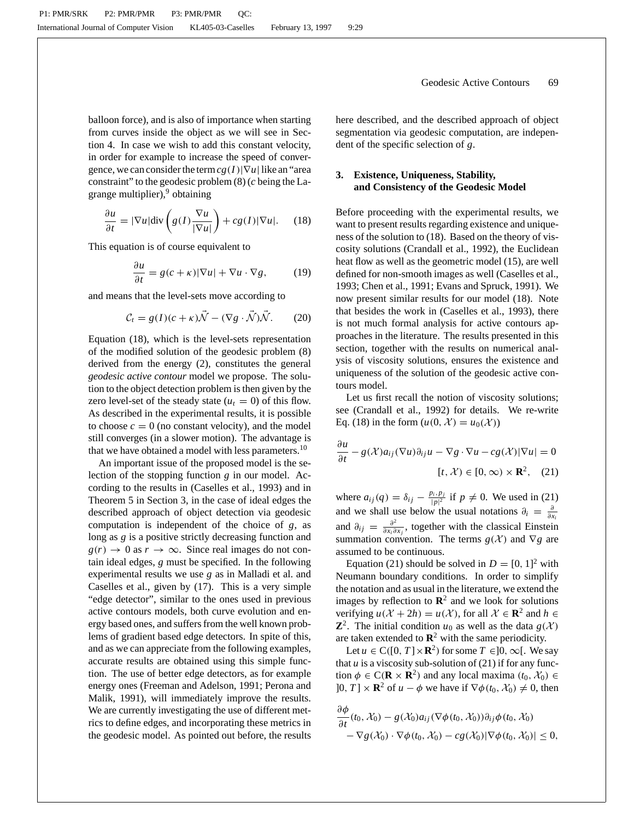balloon force), and is also of importance when starting from curves inside the object as we will see in Section 4. In case we wish to add this constant velocity, in order for example to increase the speed of convergence, we can consider the term  $cg(I)|\nabla u|$  like an "area constraint" to the geodesic problem (8) (*c* being the Lagrange multiplier), $9$  obtaining

$$
\frac{\partial u}{\partial t} = |\nabla u| \text{div}\left(g(I)\frac{\nabla u}{|\nabla u|}\right) + cg(I)|\nabla u|. \quad (18)
$$

This equation is of course equivalent to

$$
\frac{\partial u}{\partial t} = g(c + \kappa)|\nabla u| + \nabla u \cdot \nabla g,\qquad(19)
$$

and means that the level-sets move according to

$$
\mathcal{C}_t = g(I)(c + \kappa)\vec{\mathcal{N}} - (\nabla g \cdot \vec{\mathcal{N}})\vec{\mathcal{N}}.\tag{20}
$$

Equation (18), which is the level-sets representation of the modified solution of the geodesic problem (8) derived from the energy (2), constitutes the general *geodesic active contour* model we propose. The solution to the object detection problem is then given by the zero level-set of the steady state  $(u_t = 0)$  of this flow. As described in the experimental results, it is possible to choose  $c = 0$  (no constant velocity), and the model still converges (in a slower motion). The advantage is that we have obtained a model with less parameters.<sup>10</sup>

An important issue of the proposed model is the selection of the stopping function *g* in our model. According to the results in (Caselles et al., 1993) and in Theorem 5 in Section 3, in the case of ideal edges the described approach of object detection via geodesic computation is independent of the choice of *g*, as long as *g* is a positive strictly decreasing function and  $g(r) \rightarrow 0$  as  $r \rightarrow \infty$ . Since real images do not contain ideal edges, *g* must be specified. In the following experimental results we use *g* as in Malladi et al. and Caselles et al., given by (17). This is a very simple "edge detector", similar to the ones used in previous active contours models, both curve evolution and energy based ones, and suffers from the well known problems of gradient based edge detectors. In spite of this, and as we can appreciate from the following examples, accurate results are obtained using this simple function. The use of better edge detectors, as for example energy ones (Freeman and Adelson, 1991; Perona and Malik, 1991), will immediately improve the results. We are currently investigating the use of different metrics to define edges, and incorporating these metrics in the geodesic model. As pointed out before, the results

here described, and the described approach of object segmentation via geodesic computation, are independent of the specific selection of *g*.

# **3. Existence, Uniqueness, Stability, and Consistency of the Geodesic Model**

Before proceeding with the experimental results, we want to present results regarding existence and uniqueness of the solution to (18). Based on the theory of viscosity solutions (Crandall et al., 1992), the Euclidean heat flow as well as the geometric model (15), are well defined for non-smooth images as well (Caselles et al., 1993; Chen et al., 1991; Evans and Spruck, 1991). We now present similar results for our model (18). Note that besides the work in (Caselles et al., 1993), there is not much formal analysis for active contours approaches in the literature. The results presented in this section, together with the results on numerical analysis of viscosity solutions, ensures the existence and uniqueness of the solution of the geodesic active contours model.

Let us first recall the notion of viscosity solutions; see (Crandall et al., 1992) for details. We re-write Eq. (18) in the form  $(u(0, \mathcal{X}) = u_0(\mathcal{X}))$ 

$$
\frac{\partial u}{\partial t} - g(\mathcal{X})a_{ij}(\nabla u)\partial_{ij}u - \nabla g \cdot \nabla u - cg(\mathcal{X})|\nabla u| = 0
$$
  
[*t*, *X*)  $\in [0, \infty) \times \mathbb{R}^2$ , (21)

where  $a_{ij}(q) = \delta_{ij} - \frac{p_i p_j}{|p|^2}$  if  $p \neq 0$ . We used in (21) and we shall use below the usual notations  $\partial_i = \frac{\partial}{\partial x_i}$ and  $\partial_{ij} = \frac{\partial^2}{\partial x_i \partial x_j}$ , together with the classical Einstein summation convention. The terms  $g(\mathcal{X})$  and  $\nabla g$  are assumed to be continuous.

Equation (21) should be solved in  $D = [0, 1]^2$  with Neumann boundary conditions. In order to simplify the notation and as usual in the literature, we extend the images by reflection to  $\mathbb{R}^2$  and we look for solutions verifying  $u(\mathcal{X} + 2h) = u(\mathcal{X})$ , for all  $\mathcal{X} \in \mathbb{R}^2$  and  $h \in$ **Z**<sup>2</sup>. The initial condition  $u_0$  as well as the data  $g(\mathcal{X})$ are taken extended to  $\mathbb{R}^2$  with the same periodicity.

Let *u* ∈ C([0, *T* | × **R**<sup>2</sup>) for some *T* ∈ [0, ∞[. We say that  $u$  is a viscosity sub-solution of  $(21)$  if for any function  $\phi \in C(\mathbf{R} \times \mathbf{R}^2)$  and any local maxima  $(t_0, \mathcal{X}_0) \in$  $[0, T] \times \mathbf{R}^2$  of  $u - \phi$  we have if  $\nabla \phi(t_0, \mathcal{X}_0) \neq 0$ , then

$$
\frac{\partial \phi}{\partial t}(t_0, \mathcal{X}_0) - g(\mathcal{X}_0) a_{ij} (\nabla \phi(t_0, \mathcal{X}_0)) \partial_{ij} \phi(t_0, \mathcal{X}_0) \n- \nabla g(\mathcal{X}_0) \cdot \nabla \phi(t_0, \mathcal{X}_0) - c g(\mathcal{X}_0) |\nabla \phi(t_0, \mathcal{X}_0)| \leq 0,
$$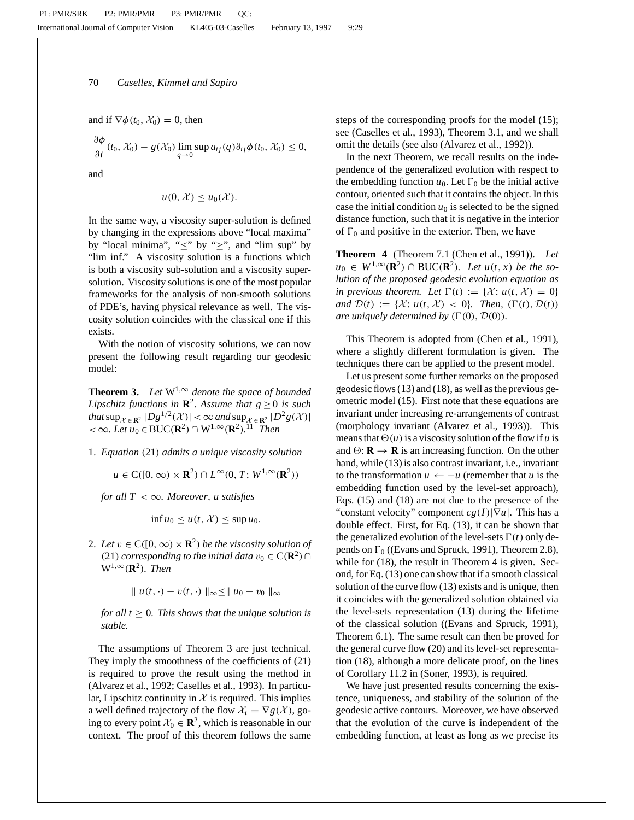and if  $\nabla \phi(t_0, \mathcal{X}_0) = 0$ , then

$$
\frac{\partial \phi}{\partial t}(t_0, \mathcal{X}_0) - g(\mathcal{X}_0) \lim_{q \to 0} \sup a_{ij}(q) \partial_{ij} \phi(t_0, \mathcal{X}_0) \leq 0,
$$

and

$$
u(0,\mathcal{X})\leq u_0(\mathcal{X}).
$$

In the same way, a viscosity super-solution is defined by changing in the expressions above "local maxima" by "local minima", " $\leq$ " by " $\geq$ ", and "lim sup" by "lim inf." A viscosity solution is a functions which is both a viscosity sub-solution and a viscosity supersolution. Viscosity solutions is one of the most popular frameworks for the analysis of non-smooth solutions of PDE's, having physical relevance as well. The viscosity solution coincides with the classical one if this exists.

With the notion of viscosity solutions, we can now present the following result regarding our geodesic model:

**Theorem 3.** *Let*  $W^{1,\infty}$  *denote the space of bounded Lipschitz functions in*  $\mathbb{R}^2$ *. Assume that*  $g > 0$  *is such that*  $\sup_{\mathcal{X} \in \mathbb{R}^2} |Dg^{1/2}(\mathcal{X})| < \infty$  and  $\sup_{\mathcal{X} \in \mathbb{R}^2} |D^2g(\mathcal{X})|$  $<\infty$ *. Let*  $u_0 \in BUC(\mathbf{R}^2) \cap W^{1,\infty}(\mathbf{R}^2)$ *.*<sup>11</sup> *Then* 

1. *Equation* (21) *admits a unique viscosity solution*

 $u \in \mathcal{C}([0,\infty) \times \mathbf{R}^2) \cap L^{\infty}(0,T;W^{1,\infty}(\mathbf{R}^2))$ 

*for all*  $T < \infty$ *. Moreover, u satisfies* 

 $\inf u_0 \leq u(t, \mathcal{X}) \leq \sup u_0$ .

2. Let  $v \in C([0,\infty) \times \mathbf{R}^2)$  be the viscosity solution of (21) *corresponding to the initial data*  $v_0$  ∈  $C(\mathbf{R}^2)$  ∩  $W^{1,\infty}(\mathbb{R}^2)$ *. Then* 

$$
\|u(t,\cdot)-v(t,\cdot)\|_{\infty}\leq \|u_0-v_0\|_{\infty}
$$

*for all t* ≥ 0*. This shows that the unique solution is stable.*

The assumptions of Theorem 3 are just technical. They imply the smoothness of the coefficients of (21) is required to prove the result using the method in (Alvarez et al., 1992; Caselles et al., 1993). In particular, Lipschitz continuity in  $X$  is required. This implies a well defined trajectory of the flow  $\mathcal{X}_t = \nabla g(\mathcal{X})$ , going to every point  $X_0 \in \mathbb{R}^2$ , which is reasonable in our context. The proof of this theorem follows the same steps of the corresponding proofs for the model (15); see (Caselles et al., 1993), Theorem 3.1, and we shall omit the details (see also (Alvarez et al., 1992)).

In the next Theorem, we recall results on the independence of the generalized evolution with respect to the embedding function  $u_0$ . Let  $\Gamma_0$  be the initial active contour, oriented such that it contains the object. In this case the initial condition  $u_0$  is selected to be the signed distance function, such that it is negative in the interior of  $\Gamma_0$  and positive in the exterior. Then, we have

**Theorem 4** (Theorem 7.1 (Chen et al., 1991)). *Let*  $u_0$  ∈  $W^{1,\infty}(\mathbb{R}^2)$  ∩ BUC( $\mathbb{R}^2$ )*. Let u*(*t*, *x*) *be the solution of the proposed geodesic evolution equation as in previous theorem. Let*  $\Gamma(t) := \{X : u(t, X) = 0\}$ *and*  $\mathcal{D}(t) := \{ \mathcal{X} : u(t, \mathcal{X}) \leq 0 \}$ *. Then,*  $(\Gamma(t), \mathcal{D}(t))$ *are uniquely determined by*  $(\Gamma(0), \mathcal{D}(0))$ *.* 

This Theorem is adopted from (Chen et al., 1991), where a slightly different formulation is given. The techniques there can be applied to the present model.

Let us present some further remarks on the proposed geodesic flows (13) and (18), as well as the previous geometric model (15). First note that these equations are invariant under increasing re-arrangements of contrast (morphology invariant (Alvarez et al., 1993)). This means that  $\Theta(u)$  is a viscosity solution of the flow if *u* is and  $\Theta: \mathbf{R} \to \mathbf{R}$  is an increasing function. On the other hand, while (13) is also contrast invariant, i.e., invariant to the transformation  $u \leftarrow -u$  (remember that *u* is the embedding function used by the level-set approach), Eqs. (15) and (18) are not due to the presence of the "constant velocity" component  $cg(I)|\nabla u|$ . This has a double effect. First, for Eq. (13), it can be shown that the generalized evolution of the level-sets  $\Gamma(t)$  only depends on  $\Gamma_0$  ((Evans and Spruck, 1991), Theorem 2.8), while for (18), the result in Theorem 4 is given. Second, for Eq. (13) one can show that if a smooth classical solution of the curve flow (13) exists and is unique, then it coincides with the generalized solution obtained via the level-sets representation (13) during the lifetime of the classical solution ((Evans and Spruck, 1991), Theorem 6.1). The same result can then be proved for the general curve flow (20) and its level-set representation (18), although a more delicate proof, on the lines of Corollary 11.2 in (Soner, 1993), is required.

We have just presented results concerning the existence, uniqueness, and stability of the solution of the geodesic active contours. Moreover, we have observed that the evolution of the curve is independent of the embedding function, at least as long as we precise its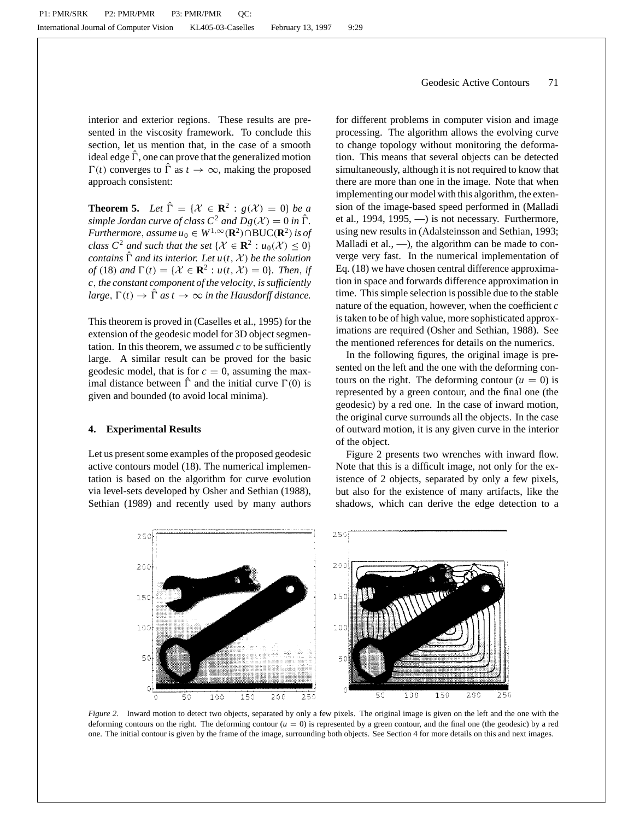interior and exterior regions. These results are presented in the viscosity framework. To conclude this section, let us mention that, in the case of a smooth ideal edge  $\hat{\Gamma}$ , one can prove that the generalized motion  $\Gamma(t)$  converges to  $\hat{\Gamma}$  as  $t \to \infty$ , making the proposed approach consistent:

**Theorem 5.** *Let*  $\hat{\Gamma} = \{ \mathcal{X} \in \mathbb{R}^2 : g(\mathcal{X}) = 0 \}$  *be a simple Jordan curve of class*  $C^2$  *and*  $Dg(\mathcal{X}) = 0$  *in*  $\hat{\Gamma}$ *. Furthermore*, *assume*  $u_0 \in W^{1,\infty}(\mathbb{R}^2) \cap BUC(\mathbb{R}^2)$  *is of class*  $C^2$  *and such that the set*  $\{X \in \mathbb{R}^2 : u_0(X) \leq 0\}$ *contains*  $\hat{\Gamma}$  *and its interior. Let*  $u(t, \mathcal{X})$  *be the solution of* (18) *and*  $\Gamma(t) = \{X \in \mathbb{R}^2 : u(t, X) = 0\}$ *. Then, if c*, *the constant component of the velocity*, *is sufficiently large*,  $\Gamma(t) \to \hat{\Gamma}$  *as*  $t \to \infty$  *in the Hausdorff distance.* 

This theorem is proved in (Caselles et al., 1995) for the extension of the geodesic model for 3D object segmentation. In this theorem, we assumed  $c$  to be sufficiently large. A similar result can be proved for the basic geodesic model, that is for  $c = 0$ , assuming the maximal distance between  $\hat{\Gamma}$  and the initial curve  $\Gamma(0)$  is given and bounded (to avoid local minima).

#### **4. Experimental Results**

Let us present some examples of the proposed geodesic active contours model (18). The numerical implementation is based on the algorithm for curve evolution via level-sets developed by Osher and Sethian (1988), Sethian (1989) and recently used by many authors

for different problems in computer vision and image processing. The algorithm allows the evolving curve to change topology without monitoring the deformation. This means that several objects can be detected simultaneously, although it is not required to know that there are more than one in the image. Note that when implementing our model with this algorithm, the extension of the image-based speed performed in (Malladi et al., 1994, 1995, —) is not necessary. Furthermore, using new results in (Adalsteinsson and Sethian, 1993; Malladi et al., —), the algorithm can be made to converge very fast. In the numerical implementation of Eq. (18) we have chosen central difference approximation in space and forwards difference approximation in time. This simple selection is possible due to the stable nature of the equation, however, when the coefficient *c* is taken to be of high value, more sophisticated approximations are required (Osher and Sethian, 1988). See the mentioned references for details on the numerics.

In the following figures, the original image is presented on the left and the one with the deforming contours on the right. The deforming contour  $(u = 0)$  is represented by a green contour, and the final one (the geodesic) by a red one. In the case of inward motion, the original curve surrounds all the objects. In the case of outward motion, it is any given curve in the interior of the object.

Figure 2 presents two wrenches with inward flow. Note that this is a difficult image, not only for the existence of 2 objects, separated by only a few pixels, but also for the existence of many artifacts, like the shadows, which can derive the edge detection to a



*Figure 2*. Inward motion to detect two objects, separated by only a few pixels. The original image is given on the left and the one with the deforming contours on the right. The deforming contour  $(u = 0)$  is represented by a green contour, and the final one (the geodesic) by a red one. The initial contour is given by the frame of the image, surrounding both objects. See Section 4 for more details on this and next images.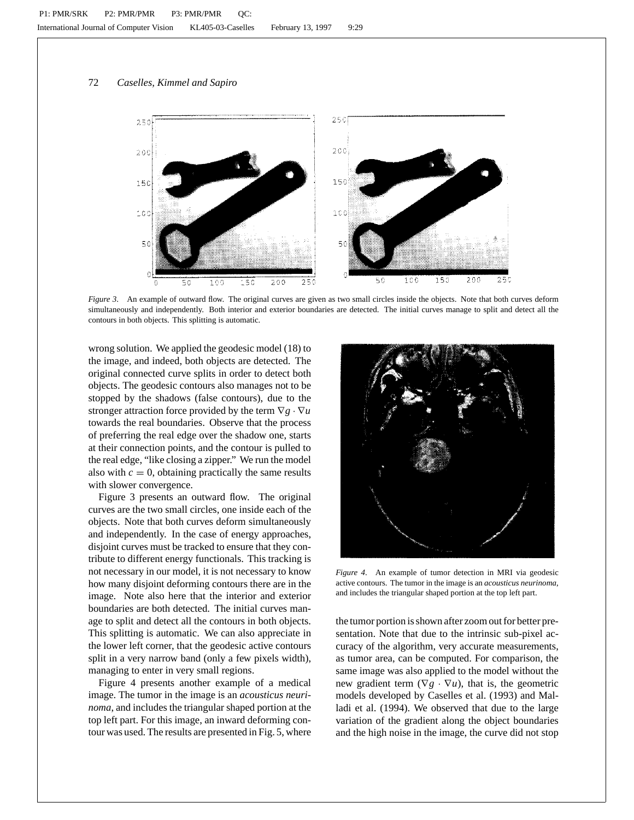

*Figure 3*. An example of outward flow. The original curves are given as two small circles inside the objects. Note that both curves deform simultaneously and independently. Both interior and exterior boundaries are detected. The initial curves manage to split and detect all the contours in both objects. This splitting is automatic.

wrong solution. We applied the geodesic model (18) to the image, and indeed, both objects are detected. The original connected curve splits in order to detect both objects. The geodesic contours also manages not to be stopped by the shadows (false contours), due to the stronger attraction force provided by the term  $\nabla g \cdot \nabla u$ towards the real boundaries. Observe that the process of preferring the real edge over the shadow one, starts at their connection points, and the contour is pulled to the real edge, "like closing a zipper." We run the model also with  $c = 0$ , obtaining practically the same results with slower convergence.

Figure 3 presents an outward flow. The original curves are the two small circles, one inside each of the objects. Note that both curves deform simultaneously and independently. In the case of energy approaches, disjoint curves must be tracked to ensure that they contribute to different energy functionals. This tracking is not necessary in our model, it is not necessary to know how many disjoint deforming contours there are in the image. Note also here that the interior and exterior boundaries are both detected. The initial curves manage to split and detect all the contours in both objects. This splitting is automatic. We can also appreciate in the lower left corner, that the geodesic active contours split in a very narrow band (only a few pixels width), managing to enter in very small regions.

Figure 4 presents another example of a medical image. The tumor in the image is an *acousticus neurinoma*, and includes the triangular shaped portion at the top left part. For this image, an inward deforming contour was used. The results are presented in Fig. 5, where



*Figure 4*. An example of tumor detection in MRI via geodesic active contours. The tumor in the image is an *acousticus neurinoma*, and includes the triangular shaped portion at the top left part.

the tumor portion is shown after zoom out for better presentation. Note that due to the intrinsic sub-pixel accuracy of the algorithm, very accurate measurements, as tumor area, can be computed. For comparison, the same image was also applied to the model without the new gradient term ( $\nabla g \cdot \nabla u$ ), that is, the geometric models developed by Caselles et al. (1993) and Malladi et al. (1994). We observed that due to the large variation of the gradient along the object boundaries and the high noise in the image, the curve did not stop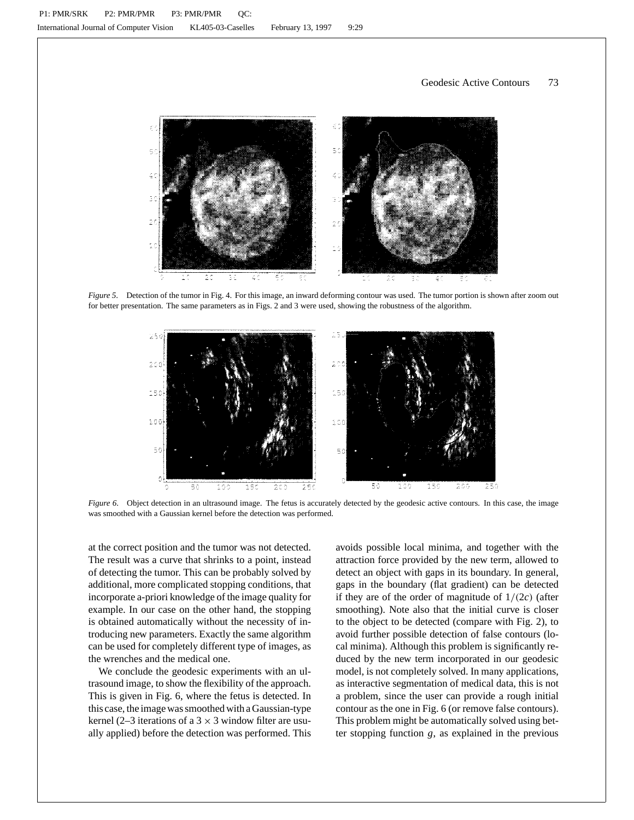

*Figure 5*. Detection of the tumor in Fig. 4. For this image, an inward deforming contour was used. The tumor portion is shown after zoom out for better presentation. The same parameters as in Figs. 2 and 3 were used, showing the robustness of the algorithm.



*Figure 6*. Object detection in an ultrasound image. The fetus is accurately detected by the geodesic active contours. In this case, the image was smoothed with a Gaussian kernel before the detection was performed.

at the correct position and the tumor was not detected. The result was a curve that shrinks to a point, instead of detecting the tumor. This can be probably solved by additional, more complicated stopping conditions, that incorporate a-priori knowledge of the image quality for example. In our case on the other hand, the stopping is obtained automatically without the necessity of introducing new parameters. Exactly the same algorithm can be used for completely different type of images, as the wrenches and the medical one.

We conclude the geodesic experiments with an ultrasound image, to show the flexibility of the approach. This is given in Fig. 6, where the fetus is detected. In this case, the image was smoothed with a Gaussian-type kernel (2–3 iterations of a  $3 \times 3$  window filter are usually applied) before the detection was performed. This avoids possible local minima, and together with the attraction force provided by the new term, allowed to detect an object with gaps in its boundary. In general, gaps in the boundary (flat gradient) can be detected if they are of the order of magnitude of  $1/(2c)$  (after smoothing). Note also that the initial curve is closer to the object to be detected (compare with Fig. 2), to avoid further possible detection of false contours (local minima). Although this problem is significantly reduced by the new term incorporated in our geodesic model, is not completely solved. In many applications, as interactive segmentation of medical data, this is not a problem, since the user can provide a rough initial contour as the one in Fig. 6 (or remove false contours). This problem might be automatically solved using better stopping function *g*, as explained in the previous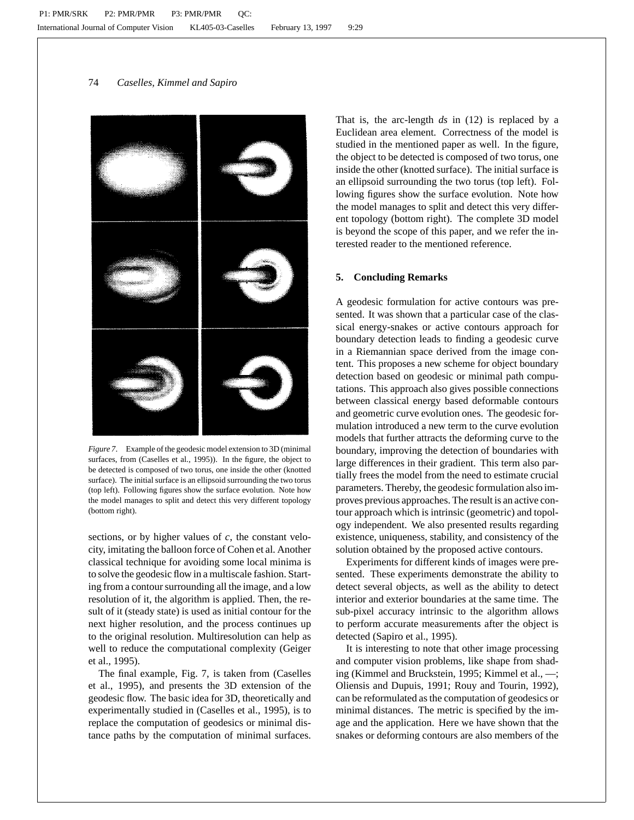

*Figure 7*. Example of the geodesic model extension to 3D (minimal surfaces, from (Caselles et al., 1995)). In the figure, the object to be detected is composed of two torus, one inside the other (knotted surface). The initial surface is an ellipsoid surrounding the two torus (top left). Following figures show the surface evolution. Note how the model manages to split and detect this very different topology (bottom right).

sections, or by higher values of *c*, the constant velocity, imitating the balloon force of Cohen et al. Another classical technique for avoiding some local minima is to solve the geodesic flow in a multiscale fashion. Starting from a contour surrounding all the image, and a low resolution of it, the algorithm is applied. Then, the result of it (steady state) is used as initial contour for the next higher resolution, and the process continues up to the original resolution. Multiresolution can help as well to reduce the computational complexity (Geiger et al., 1995).

The final example, Fig. 7, is taken from (Caselles et al., 1995), and presents the 3D extension of the geodesic flow. The basic idea for 3D, theoretically and experimentally studied in (Caselles et al., 1995), is to replace the computation of geodesics or minimal distance paths by the computation of minimal surfaces. That is, the arc-length *ds* in (12) is replaced by a Euclidean area element. Correctness of the model is studied in the mentioned paper as well. In the figure, the object to be detected is composed of two torus, one inside the other (knotted surface). The initial surface is an ellipsoid surrounding the two torus (top left). Following figures show the surface evolution. Note how the model manages to split and detect this very different topology (bottom right). The complete 3D model is beyond the scope of this paper, and we refer the interested reader to the mentioned reference.

# **5. Concluding Remarks**

A geodesic formulation for active contours was presented. It was shown that a particular case of the classical energy-snakes or active contours approach for boundary detection leads to finding a geodesic curve in a Riemannian space derived from the image content. This proposes a new scheme for object boundary detection based on geodesic or minimal path computations. This approach also gives possible connections between classical energy based deformable contours and geometric curve evolution ones. The geodesic formulation introduced a new term to the curve evolution models that further attracts the deforming curve to the boundary, improving the detection of boundaries with large differences in their gradient. This term also partially frees the model from the need to estimate crucial parameters. Thereby, the geodesic formulation also improves previous approaches. The result is an active contour approach which is intrinsic (geometric) and topology independent. We also presented results regarding existence, uniqueness, stability, and consistency of the solution obtained by the proposed active contours.

Experiments for different kinds of images were presented. These experiments demonstrate the ability to detect several objects, as well as the ability to detect interior and exterior boundaries at the same time. The sub-pixel accuracy intrinsic to the algorithm allows to perform accurate measurements after the object is detected (Sapiro et al., 1995).

It is interesting to note that other image processing and computer vision problems, like shape from shading (Kimmel and Bruckstein, 1995; Kimmel et al., —; Oliensis and Dupuis, 1991; Rouy and Tourin, 1992), can be reformulated as the computation of geodesics or minimal distances. The metric is specified by the image and the application. Here we have shown that the snakes or deforming contours are also members of the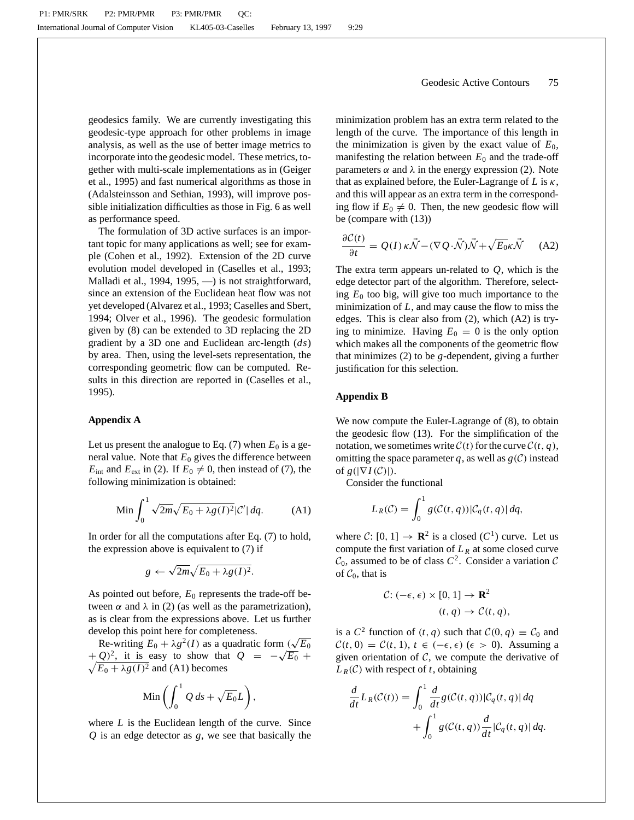geodesics family. We are currently investigating this geodesic-type approach for other problems in image analysis, as well as the use of better image metrics to incorporate into the geodesic model. These metrics, together with multi-scale implementations as in (Geiger et al., 1995) and fast numerical algorithms as those in (Adalsteinsson and Sethian, 1993), will improve possible initialization difficulties as those in Fig. 6 as well as performance speed.

The formulation of 3D active surfaces is an important topic for many applications as well; see for example (Cohen et al., 1992). Extension of the 2D curve evolution model developed in (Caselles et al., 1993; Malladi et al., 1994, 1995, —) is not straightforward, since an extension of the Euclidean heat flow was not yet developed (Alvarez et al., 1993; Caselles and Sbert, 1994; Olver et al., 1996). The geodesic formulation given by (8) can be extended to 3D replacing the 2D gradient by a 3D one and Euclidean arc-length (*ds*) by area. Then, using the level-sets representation, the corresponding geometric flow can be computed. Results in this direction are reported in (Caselles et al., 1995).

# **Appendix A**

Let us present the analogue to Eq.  $(7)$  when  $E_0$  is a general value. Note that  $E_0$  gives the difference between  $E_{\text{int}}$  and  $E_{\text{ext}}$  in (2). If  $E_0 \neq 0$ , then instead of (7), the following minimization is obtained:

$$
\operatorname{Min} \int_0^1 \sqrt{2m} \sqrt{E_0 + \lambda g(I)^2} |\mathcal{C}'| \, dq. \tag{A1}
$$

In order for all the computations after Eq. (7) to hold, the expression above is equivalent to (7) if

$$
g \leftarrow \sqrt{2m}\sqrt{E_0 + \lambda g(I)^2}.
$$

As pointed out before,  $E_0$  represents the trade-off between  $\alpha$  and  $\lambda$  in (2) (as well as the parametrization), as is clear from the expressions above. Let us further develop this point here for completeness.

 $\chi$  Re-writing  $E_0 + \lambda g^2(I)$  as a quadratic form ( $\sqrt{E_0}$  $+ Q^2$ , it is easy to show that  $Q = -\sqrt{E_0} +$  $\sqrt{E_0 + \lambda g(I)^2}$  and (A1) becomes

$$
\operatorname{Min}\left(\int_0^1 Q\,ds + \sqrt{E_0}L\right),\,
$$

where *L* is the Euclidean length of the curve. Since *Q* is an edge detector as *g*, we see that basically the

minimization problem has an extra term related to the length of the curve. The importance of this length in the minimization is given by the exact value of  $E_0$ , manifesting the relation between  $E_0$  and the trade-off parameters  $\alpha$  and  $\lambda$  in the energy expression (2). Note that as explained before, the Euler-Lagrange of *L* is κ, and this will appear as an extra term in the corresponding flow if  $E_0 \neq 0$ . Then, the new geodesic flow will be (compare with (13))

$$
\frac{\partial C(t)}{\partial t} = Q(I) \kappa \vec{\mathcal{N}} - (\nabla Q \cdot \vec{\mathcal{N}}) \vec{\mathcal{N}} + \sqrt{E_0} \kappa \vec{\mathcal{N}} \quad (A2)
$$

The extra term appears un-related to *Q*, which is the edge detector part of the algorithm. Therefore, selecting  $E_0$  too big, will give too much importance to the minimization of *L*, and may cause the flow to miss the edges. This is clear also from (2), which (A2) is trying to minimize. Having  $E_0 = 0$  is the only option which makes all the components of the geometric flow that minimizes (2) to be *g*-dependent, giving a further justification for this selection.

### **Appendix B**

We now compute the Euler-Lagrange of (8), to obtain the geodesic flow (13). For the simplification of the notation, we sometimes write  $C(t)$  for the curve  $C(t, q)$ , omitting the space parameter  $q$ , as well as  $g(\mathcal{C})$  instead of  $g(|\nabla I(\mathcal{C})|)$ .

Consider the functional

$$
L_R(\mathcal{C}) = \int_0^1 g(\mathcal{C}(t,q)) |\mathcal{C}_q(t,q)| dq,
$$

where  $C: [0, 1] \rightarrow \mathbb{R}^2$  is a closed  $(C^1)$  curve. Let us compute the first variation of  $L_R$  at some closed curve  $\mathcal{C}_0$ , assumed to be of class  $C^2$ . Consider a variation  $\mathcal C$ of  $C_0$ , that is

$$
\mathcal{C}: (-\epsilon, \epsilon) \times [0, 1] \to \mathbf{R}^2
$$

$$
(t, q) \to \mathcal{C}(t, q),
$$

is a  $C^2$  function of  $(t, q)$  such that  $C(0, q) \equiv C_0$  and  $\mathcal{C}(t, 0) = \mathcal{C}(t, 1), t \in (-\epsilon, \epsilon)$  ( $\epsilon > 0$ ). Assuming a given orientation of  $C$ , we compute the derivative of  $L_R(\mathcal{C})$  with respect of *t*, obtaining

$$
\frac{d}{dt}L_R(\mathcal{C}(t)) = \int_0^1 \frac{d}{dt}g(\mathcal{C}(t,q))|\mathcal{C}_q(t,q)|dq
$$

$$
+ \int_0^1 g(\mathcal{C}(t,q))\frac{d}{dt}|\mathcal{C}_q(t,q)|dq.
$$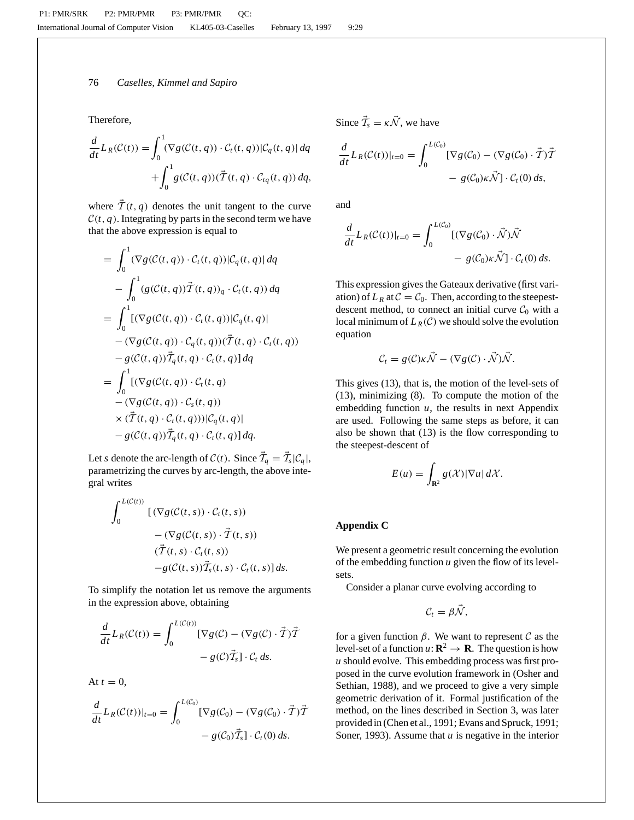Therefore,

$$
\frac{d}{dt}L_R(\mathcal{C}(t)) = \int_0^1 (\nabla g(\mathcal{C}(t, q)) \cdot \mathcal{C}_t(t, q)) |\mathcal{C}_q(t, q)| dq \n+ \int_0^1 g(\mathcal{C}(t, q)) (\vec{T}(t, q) \cdot \mathcal{C}_{tq}(t, q)) dq,
$$

where  $\vec{T}(t, q)$  denotes the unit tangent to the curve  $C(t, q)$ . Integrating by parts in the second term we have that the above expression is equal to

$$
= \int_0^1 (\nabla g(C(t, q)) \cdot C_t(t, q)) |C_q(t, q)| dq
$$
  
\n
$$
- \int_0^1 (g(C(t, q)) \vec{T}(t, q))_q \cdot C_t(t, q)) dq
$$
  
\n
$$
= \int_0^1 [(\nabla g(C(t, q)) \cdot C_t(t, q)) |C_q(t, q)|
$$
  
\n
$$
- (\nabla g(C(t, q)) \cdot C_q(t, q)) (\vec{T}(t, q) \cdot C_t(t, q))
$$
  
\n
$$
- g(C(t, q)) \vec{T}_q(t, q) \cdot C_t(t, q)] dq
$$
  
\n
$$
= \int_0^1 [(\nabla g(C(t, q)) \cdot C_t(t, q))
$$
  
\n
$$
- (\nabla g(C(t, q)) \cdot C_s(t, q))
$$
  
\n
$$
\times (\vec{T}(t, q) \cdot C_t(t, q)) |C_q(t, q)|
$$
  
\n
$$
- g(C(t, q)) \vec{T}_q(t, q) \cdot C_t(t, q)] dq.
$$

Let *s* denote the arc-length of  $C(t)$ . Since  $\vec{T}_q = \vec{T}_s |C_q|$ , parametrizing the curves by arc-length, the above integral writes

$$
\int_0^{L(\mathcal{C}(t))} \left[ \left( \nabla g(\mathcal{C}(t,s)) \cdot \mathcal{C}_t(t,s) \right) - \left( \nabla g(\mathcal{C}(t,s)) \cdot \vec{\mathcal{T}}(t,s) \right) \right. \\ \left. \left( \vec{\mathcal{T}}(t,s) \cdot \mathcal{C}_t(t,s) \right) - g(\mathcal{C}(t,s)) \vec{\mathcal{T}}_s(t,s) \cdot \mathcal{C}_t(t,s) \right] ds.
$$

To simplify the notation let us remove the arguments in the expression above, obtaining

$$
\frac{d}{dt}L_R(\mathcal{C}(t)) = \int_0^{L(\mathcal{C}(t))} [\nabla g(\mathcal{C}) - (\nabla g(\mathcal{C}) \cdot \vec{\mathcal{T}})\vec{\mathcal{T}} - g(\mathcal{C})\vec{\mathcal{T}}_s] \cdot \mathcal{C}_t ds.
$$

At  $t=0$ ,

$$
\frac{d}{dt}L_R(\mathcal{C}(t))|_{t=0} = \int_0^{L(\mathcal{C}_0)} [\nabla g(\mathcal{C}_0) - (\nabla g(\mathcal{C}_0) \cdot \vec{\mathcal{T}})\vec{\mathcal{T}} - g(\mathcal{C}_0)\vec{\mathcal{T}}_s] \cdot \mathcal{C}_t(0) ds.
$$

Since  $\vec{\mathcal{T}}_s = \kappa \vec{\mathcal{N}}$ , we have

$$
\frac{d}{dt}L_R(\mathcal{C}(t))|_{t=0} = \int_0^{L(\mathcal{C}_0)} [\nabla g(\mathcal{C}_0) - (\nabla g(\mathcal{C}_0) \cdot \vec{\mathcal{T}})\vec{\mathcal{T}} - g(\mathcal{C}_0)\kappa \vec{\mathcal{N}}] \cdot \mathcal{C}_t(0) ds,
$$

and

$$
\frac{d}{dt}L_R(\mathcal{C}(t))|_{t=0} = \int_0^{L(\mathcal{C}_0)} [(\nabla g(\mathcal{C}_0) \cdot \vec{\mathcal{N}}) \vec{\mathcal{N}} - g(\mathcal{C}_0) \kappa \vec{\mathcal{N}}] \cdot \mathcal{C}_t(0) ds.
$$

This expression gives the Gateaux derivative (first variation) of  $L_R$  at  $C = C_0$ . Then, according to the steepestdescent method, to connect an initial curve  $C_0$  with a local minimum of  $L_R(\mathcal{C})$  we should solve the evolution equation

$$
\mathcal{C}_t = g(\mathcal{C})\kappa \vec{\mathcal{N}} - (\nabla g(\mathcal{C}) \cdot \vec{\mathcal{N}}) \vec{\mathcal{N}}.
$$

This gives (13), that is, the motion of the level-sets of (13), minimizing (8). To compute the motion of the embedding function  $u$ , the results in next Appendix are used. Following the same steps as before, it can also be shown that (13) is the flow corresponding to the steepest-descent of

$$
E(u) = \int_{\mathbf{R}^2} g(\mathcal{X}) |\nabla u| \, d\mathcal{X}.
$$

# **Appendix C**

We present a geometric result concerning the evolution of the embedding function *u* given the flow of its levelsets.

Consider a planar curve evolving according to

$$
\mathcal{C}_t=\beta\vec{\mathcal{N}},
$$

for a given function  $\beta$ . We want to represent  $\mathcal C$  as the level-set of a function  $u: \mathbb{R}^2 \to \mathbb{R}$ . The question is how *u* should evolve. This embedding process was first proposed in the curve evolution framework in (Osher and Sethian, 1988), and we proceed to give a very simple geometric derivation of it. Formal justification of the method, on the lines described in Section 3, was later provided in (Chen et al., 1991; Evans and Spruck, 1991; Soner, 1993). Assume that *u* is negative in the interior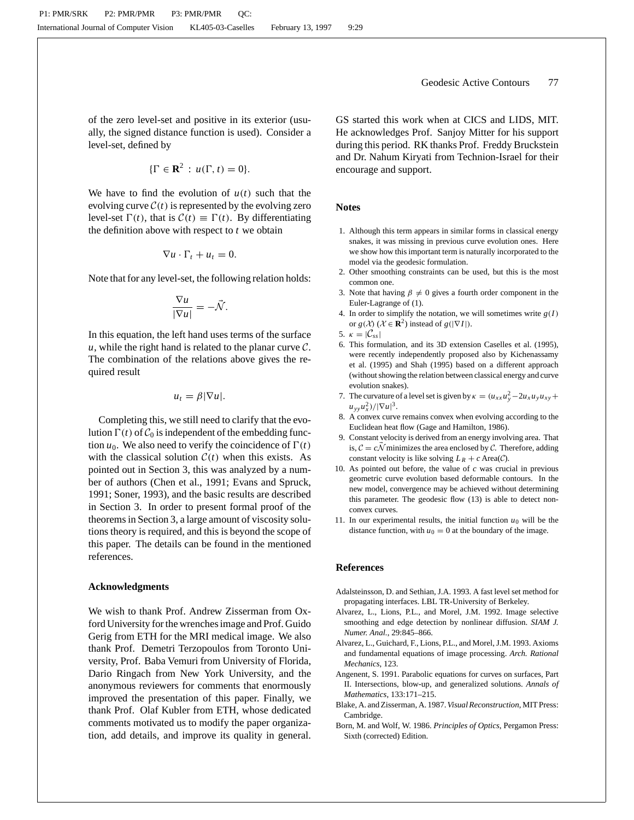of the zero level-set and positive in its exterior (usually, the signed distance function is used). Consider a level-set, defined by

$$
\{\Gamma \in \mathbf{R}^2 : u(\Gamma, t) = 0\}.
$$

We have to find the evolution of  $u(t)$  such that the evolving curve  $C(t)$  is represented by the evolving zero level-set  $\Gamma(t)$ , that is  $C(t) \equiv \Gamma(t)$ . By differentiating the definition above with respect to *t* we obtain

$$
\nabla u \cdot \Gamma_t + u_t = 0.
$$

Note that for any level-set, the following relation holds:

$$
\frac{\nabla u}{|\nabla u|} = -\vec{\mathcal{N}}.
$$

In this equation, the left hand uses terms of the surface  $u$ , while the right hand is related to the planar curve  $\mathcal{C}$ . The combination of the relations above gives the required result

$$
u_t = \beta |\nabla u|.
$$

Completing this, we still need to clarify that the evolution  $\Gamma(t)$  of  $C_0$  is independent of the embedding function  $u_0$ . We also need to verify the coincidence of  $\Gamma(t)$ with the classical solution  $C(t)$  when this exists. As pointed out in Section 3, this was analyzed by a number of authors (Chen et al., 1991; Evans and Spruck, 1991; Soner, 1993), and the basic results are described in Section 3. In order to present formal proof of the theorems in Section 3, a large amount of viscosity solutions theory is required, and this is beyond the scope of this paper. The details can be found in the mentioned references.

## **Acknowledgments**

We wish to thank Prof. Andrew Zisserman from Oxford University for the wrenches image and Prof. Guido Gerig from ETH for the MRI medical image. We also thank Prof. Demetri Terzopoulos from Toronto University, Prof. Baba Vemuri from University of Florida, Dario Ringach from New York University, and the anonymous reviewers for comments that enormously improved the presentation of this paper. Finally, we thank Prof. Olaf Kubler from ETH, whose dedicated comments motivated us to modify the paper organization, add details, and improve its quality in general. GS started this work when at CICS and LIDS, MIT. He acknowledges Prof. Sanjoy Mitter for his support during this period. RK thanks Prof. Freddy Bruckstein and Dr. Nahum Kiryati from Technion-Israel for their encourage and support.

### **Notes**

- 1. Although this term appears in similar forms in classical energy snakes, it was missing in previous curve evolution ones. Here we show how this important term is naturally incorporated to the model via the geodesic formulation.
- 2. Other smoothing constraints can be used, but this is the most common one.
- 3. Note that having  $\beta \neq 0$  gives a fourth order component in the Euler-Lagrange of (1).
- 4. In order to simplify the notation, we will sometimes write  $g(I)$ or  $g(\mathcal{X})$  ( $\mathcal{X} \in \mathbb{R}^2$ ) instead of  $g(|\nabla I|)$ .
- 5. <sup>κ</sup> = |C*ss*<sup>|</sup>
- 6. This formulation, and its 3D extension Caselles et al. (1995), were recently independently proposed also by Kichenassamy et al. (1995) and Shah (1995) based on a different approach (without showing the relation between classical energy and curve evolution snakes).
- 7. The curvature of a level set is given by  $\kappa = (u_{xx}u_y^2 2u_xu_yu_{xy} +$  $u_{yy}u_x^2)/|\nabla u|^3$ .
- 8. A convex curve remains convex when evolving according to the Euclidean heat flow (Gage and Hamilton, 1986).
- 9. Constant velocity is derived from an energy involving area. That is,  $C = c\mathcal{N}$  minimizes the area enclosed by C. Therefore, adding constant velocity is like solving  $L_R + c$  Area( $C$ ).
- 10. As pointed out before, the value of *c* was crucial in previous geometric curve evolution based deformable contours. In the new model, convergence may be achieved without determining this parameter. The geodesic flow (13) is able to detect nonconvex curves.
- 11. In our experimental results, the initial function  $u_0$  will be the distance function, with  $u_0 = 0$  at the boundary of the image.

## **References**

- Adalsteinsson, D. and Sethian, J.A. 1993. A fast level set method for propagating interfaces. LBL TR-University of Berkeley.
- Alvarez, L., Lions, P.L., and Morel, J.M. 1992. Image selective smoothing and edge detection by nonlinear diffusion. *SIAM J. Numer. Anal.*, 29:845–866.
- Alvarez, L., Guichard, F., Lions, P.L., and Morel, J.M. 1993. Axioms and fundamental equations of image processing. *Arch. Rational Mechanics*, 123.
- Angenent, S. 1991. Parabolic equations for curves on surfaces, Part II. Intersections, blow-up, and generalized solutions. *Annals of Mathematics*, 133:171–215.
- Blake, A. and Zisserman, A. 1987.*Visual Reconstruction*, MIT Press: Cambridge.
- Born, M. and Wolf, W. 1986. *Principles of Optics*, Pergamon Press: Sixth (corrected) Edition.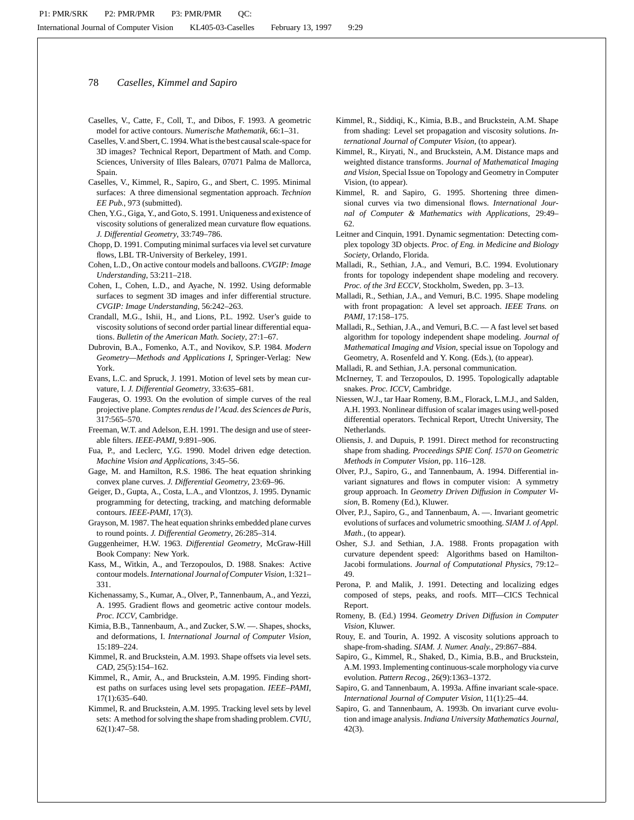- Caselles, V., Catte, F., Coll, T., and Dibos, F. 1993. A geometric model for active contours. *Numerische Mathematik*, 66:1–31.
- Caselles, V. and Sbert, C. 1994. What is the best causal scale-space for 3D images? Technical Report, Department of Math. and Comp. Sciences, University of Illes Balears, 07071 Palma de Mallorca, Spain.
- Caselles, V., Kimmel, R., Sapiro, G., and Sbert, C. 1995. Minimal surfaces: A three dimensional segmentation approach. *Technion EE Pub.*, 973 (submitted).
- Chen, Y.G., Giga, Y., and Goto, S. 1991. Uniqueness and existence of viscosity solutions of generalized mean curvature flow equations. *J. Differential Geometry*, 33:749–786.
- Chopp, D. 1991. Computing minimal surfaces via level set curvature flows, LBL TR-University of Berkeley, 1991.
- Cohen, L.D., On active contour models and balloons. *CVGIP: Image Understanding*, 53:211–218.
- Cohen, I., Cohen, L.D., and Ayache, N. 1992. Using deformable surfaces to segment 3D images and infer differential structure. *CVGIP: Image Understanding*, 56:242–263.
- Crandall, M.G., Ishii, H., and Lions, P.L. 1992. User's guide to viscosity solutions of second order partial linear differential equations. *Bulletin of the American Math. Society*, 27:1–67.
- Dubrovin, B.A., Fomenko, A.T., and Novikov, S.P. 1984. *Modern Geometry—Methods and Applications I*, Springer-Verlag: New York.
- Evans, L.C. and Spruck, J. 1991. Motion of level sets by mean curvature, I. *J. Differential Geometry*, 33:635–681.
- Faugeras, O. 1993. On the evolution of simple curves of the real projective plane. *Comptes rendus de l'Acad. des Sciences de Paris*, 317:565–570.
- Freeman, W.T. and Adelson, E.H. 1991. The design and use of steerable filters. *IEEE-PAMI*, 9:891–906.
- Fua, P., and Leclerc, Y.G. 1990. Model driven edge detection. *Machine Vision and Applications*, 3:45–56.
- Gage, M. and Hamilton, R.S. 1986. The heat equation shrinking convex plane curves. *J. Differential Geometry*, 23:69–96.
- Geiger, D., Gupta, A., Costa, L.A., and Vlontzos, J. 1995. Dynamic programming for detecting, tracking, and matching deformable contours. *IEEE-PAMI*, 17(3).
- Grayson, M. 1987. The heat equation shrinks embedded plane curves to round points. *J. Differential Geometry*, 26:285–314.
- Guggenheimer, H.W. 1963. *Differential Geometry*, McGraw-Hill Book Company: New York.
- Kass, M., Witkin, A., and Terzopoulos, D. 1988. Snakes: Active contour models.*International Journal of Computer Vision*, 1:321– 331.
- Kichenassamy, S., Kumar, A., Olver, P., Tannenbaum, A., and Yezzi, A. 1995. Gradient flows and geometric active contour models. *Proc. ICCV*, Cambridge.
- Kimia, B.B., Tannenbaum, A., and Zucker, S.W. —. Shapes, shocks, and deformations, I. *International Journal of Computer Vision*, 15:189–224.
- Kimmel, R. and Bruckstein, A.M. 1993. Shape offsets via level sets. *CAD*, 25(5):154–162.
- Kimmel, R., Amir, A., and Bruckstein, A.M. 1995. Finding shortest paths on surfaces using level sets propagation. *IEEE–PAMI*, 17(1):635–640.
- Kimmel, R. and Bruckstein, A.M. 1995. Tracking level sets by level sets: A method for solving the shape from shading problem.*CVIU*, 62(1):47–58.
- Kimmel, R., Siddiqi, K., Kimia, B.B., and Bruckstein, A.M. Shape from shading: Level set propagation and viscosity solutions. *International Journal of Computer Vision*, (to appear).
- Kimmel, R., Kiryati, N., and Bruckstein, A.M. Distance maps and weighted distance transforms. *Journal of Mathematical Imaging and Vision*, Special Issue on Topology and Geometry in Computer Vision, (to appear).
- Kimmel, R. and Sapiro, G. 1995. Shortening three dimensional curves via two dimensional flows. *International Journal of Computer & Mathematics with Applications*, 29:49– 62.
- Leitner and Cinquin, 1991. Dynamic segmentation: Detecting complex topology 3D objects. *Proc. of Eng. in Medicine and Biology Society*, Orlando, Florida.
- Malladi, R., Sethian, J.A., and Vemuri, B.C. 1994. Evolutionary fronts for topology independent shape modeling and recovery. *Proc. of the 3rd ECCV*, Stockholm, Sweden, pp. 3–13.
- Malladi, R., Sethian, J.A., and Vemuri, B.C. 1995. Shape modeling with front propagation: A level set approach. *IEEE Trans. on PAMI*, 17:158–175.
- Malladi, R., Sethian, J.A., and Vemuri, B.C. A fast level set based algorithm for topology independent shape modeling. *Journal of Mathematical Imaging and Vision*, special issue on Topology and Geometry, A. Rosenfeld and Y. Kong. (Eds.), (to appear).
- Malladi, R. and Sethian, J.A. personal communication.
- McInerney, T. and Terzopoulos, D. 1995. Topologically adaptable snakes. *Proc. ICCV*, Cambridge.
- Niessen, W.J., tar Haar Romeny, B.M., Florack, L.M.J., and Salden, A.H. 1993. Nonlinear diffusion of scalar images using well-posed differential operators. Technical Report, Utrecht University, The Netherlands.
- Oliensis, J. and Dupuis, P. 1991. Direct method for reconstructing shape from shading. *Proceedings SPIE Conf. 1570 on Geometric Methods in Computer Vision*, pp. 116–128.
- Olver, P.J., Sapiro, G., and Tannenbaum, A. 1994. Differential invariant signatures and flows in computer vision: A symmetry group approach. In *Geometry Driven Diffusion in Computer Vision*, B. Romeny (Ed.), Kluwer.
- Olver, P.J., Sapiro, G., and Tannenbaum, A. —. Invariant geometric evolutions of surfaces and volumetric smoothing. *SIAM J. of Appl. Math.*, (to appear).
- Osher, S.J. and Sethian, J.A. 1988. Fronts propagation with curvature dependent speed: Algorithms based on Hamilton-Jacobi formulations. *Journal of Computational Physics*, 79:12– 49.
- Perona, P. and Malik, J. 1991. Detecting and localizing edges composed of steps, peaks, and roofs. MIT—CICS Technical Report.
- Romeny, B. (Ed.) 1994. *Geometry Driven Diffusion in Computer Vision*, Kluwer.
- Rouy, E. and Tourin, A. 1992. A viscosity solutions approach to shape-from-shading. *SIAM. J. Numer. Analy.*, 29:867–884.
- Sapiro, G., Kimmel, R., Shaked, D., Kimia, B.B., and Bruckstein, A.M. 1993. Implementing continuous-scale morphology via curve evolution. *Pattern Recog.*, 26(9):1363–1372.
- Sapiro, G. and Tannenbaum, A. 1993a. Affine invariant scale-space. *International Journal of Computer Vision*, 11(1):25–44.
- Sapiro, G. and Tannenbaum, A. 1993b. On invariant curve evolution and image analysis. *Indiana University Mathematics Journal*, 42(3).